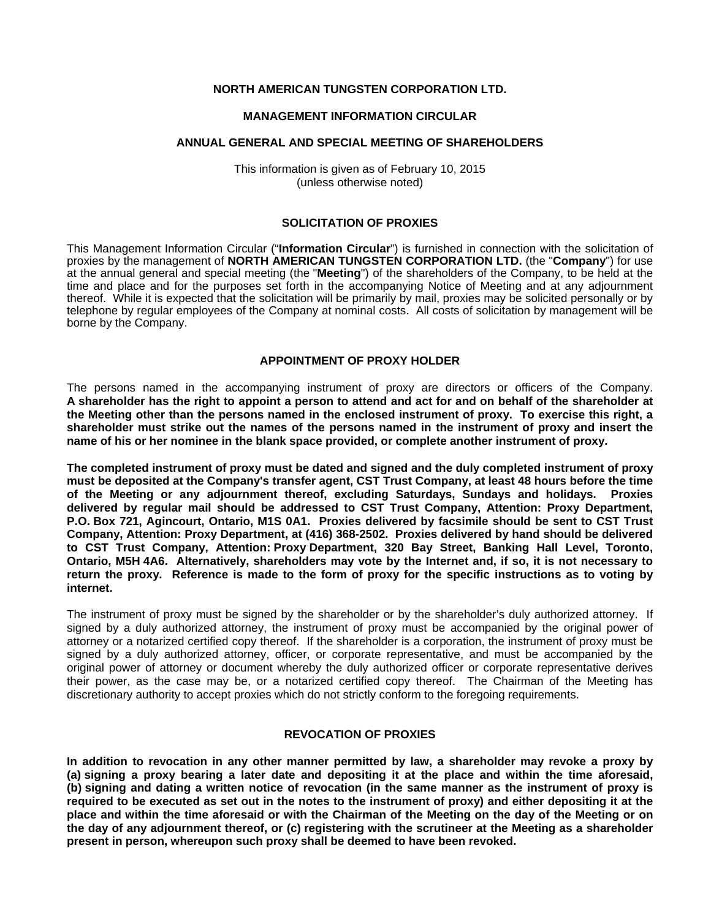## **NORTH AMERICAN TUNGSTEN CORPORATION LTD.**

#### **MANAGEMENT INFORMATION CIRCULAR**

#### **ANNUAL GENERAL AND SPECIAL MEETING OF SHAREHOLDERS**

This information is given as of February 10, 2015 (unless otherwise noted)

## **SOLICITATION OF PROXIES**

This Management Information Circular ("**Information Circular**") is furnished in connection with the solicitation of proxies by the management of **NORTH AMERICAN TUNGSTEN CORPORATION LTD.** (the "**Company**") for use at the annual general and special meeting (the "**Meeting**") of the shareholders of the Company, to be held at the time and place and for the purposes set forth in the accompanying Notice of Meeting and at any adjournment thereof. While it is expected that the solicitation will be primarily by mail, proxies may be solicited personally or by telephone by regular employees of the Company at nominal costs. All costs of solicitation by management will be borne by the Company.

#### **APPOINTMENT OF PROXY HOLDER**

The persons named in the accompanying instrument of proxy are directors or officers of the Company. **A shareholder has the right to appoint a person to attend and act for and on behalf of the shareholder at the Meeting other than the persons named in the enclosed instrument of proxy. To exercise this right, a shareholder must strike out the names of the persons named in the instrument of proxy and insert the name of his or her nominee in the blank space provided, or complete another instrument of proxy.** 

**The completed instrument of proxy must be dated and signed and the duly completed instrument of proxy must be deposited at the Company's transfer agent, CST Trust Company, at least 48 hours before the time of the Meeting or any adjournment thereof, excluding Saturdays, Sundays and holidays. Proxies delivered by regular mail should be addressed to CST Trust Company, Attention: Proxy Department, P.O. Box 721, Agincourt, Ontario, M1S 0A1. Proxies delivered by facsimile should be sent to CST Trust Company, Attention: Proxy Department, at (416) 368-2502. Proxies delivered by hand should be delivered to CST Trust Company, Attention: Proxy Department, 320 Bay Street, Banking Hall Level, Toronto, Ontario, M5H 4A6. Alternatively, shareholders may vote by the Internet and, if so, it is not necessary to return the proxy. Reference is made to the form of proxy for the specific instructions as to voting by internet.** 

The instrument of proxy must be signed by the shareholder or by the shareholder's duly authorized attorney. If signed by a duly authorized attorney, the instrument of proxy must be accompanied by the original power of attorney or a notarized certified copy thereof. If the shareholder is a corporation, the instrument of proxy must be signed by a duly authorized attorney, officer, or corporate representative, and must be accompanied by the original power of attorney or document whereby the duly authorized officer or corporate representative derives their power, as the case may be, or a notarized certified copy thereof. The Chairman of the Meeting has discretionary authority to accept proxies which do not strictly conform to the foregoing requirements.

### **REVOCATION OF PROXIES**

**In addition to revocation in any other manner permitted by law, a shareholder may revoke a proxy by (a) signing a proxy bearing a later date and depositing it at the place and within the time aforesaid, (b) signing and dating a written notice of revocation (in the same manner as the instrument of proxy is required to be executed as set out in the notes to the instrument of proxy) and either depositing it at the place and within the time aforesaid or with the Chairman of the Meeting on the day of the Meeting or on the day of any adjournment thereof, or (c) registering with the scrutineer at the Meeting as a shareholder present in person, whereupon such proxy shall be deemed to have been revoked.**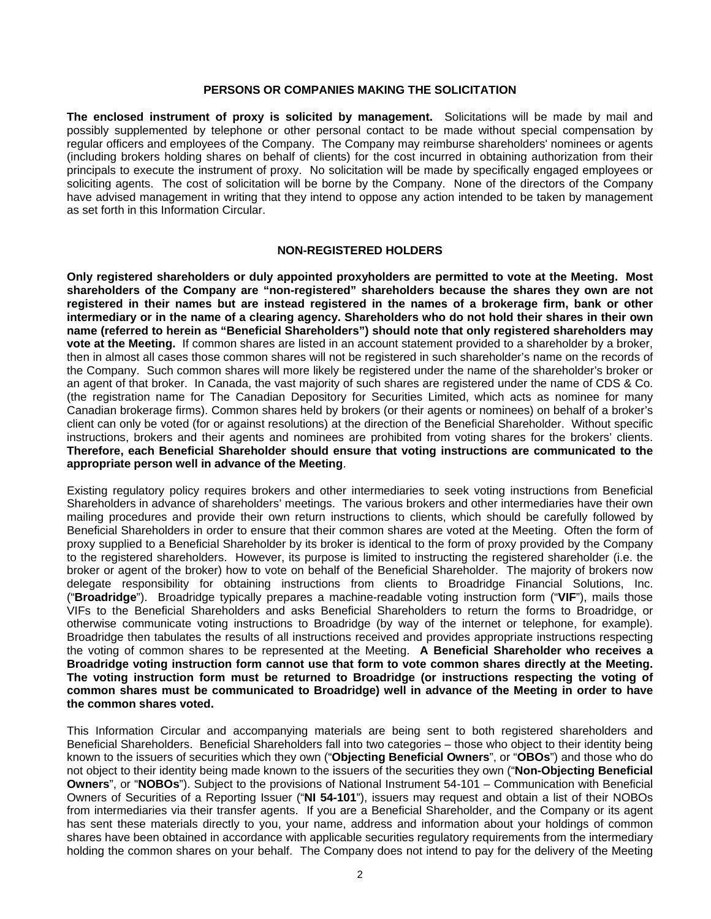### **PERSONS OR COMPANIES MAKING THE SOLICITATION**

**The enclosed instrument of proxy is solicited by management.** Solicitations will be made by mail and possibly supplemented by telephone or other personal contact to be made without special compensation by regular officers and employees of the Company. The Company may reimburse shareholders' nominees or agents (including brokers holding shares on behalf of clients) for the cost incurred in obtaining authorization from their principals to execute the instrument of proxy. No solicitation will be made by specifically engaged employees or soliciting agents. The cost of solicitation will be borne by the Company. None of the directors of the Company have advised management in writing that they intend to oppose any action intended to be taken by management as set forth in this Information Circular.

### **NON-REGISTERED HOLDERS**

**Only registered shareholders or duly appointed proxyholders are permitted to vote at the Meeting. Most shareholders of the Company are "non-registered" shareholders because the shares they own are not registered in their names but are instead registered in the names of a brokerage firm, bank or other intermediary or in the name of a clearing agency. Shareholders who do not hold their shares in their own name (referred to herein as "Beneficial Shareholders") should note that only registered shareholders may vote at the Meeting.** If common shares are listed in an account statement provided to a shareholder by a broker, then in almost all cases those common shares will not be registered in such shareholder's name on the records of the Company. Such common shares will more likely be registered under the name of the shareholder's broker or an agent of that broker. In Canada, the vast majority of such shares are registered under the name of CDS & Co. (the registration name for The Canadian Depository for Securities Limited, which acts as nominee for many Canadian brokerage firms). Common shares held by brokers (or their agents or nominees) on behalf of a broker's client can only be voted (for or against resolutions) at the direction of the Beneficial Shareholder. Without specific instructions, brokers and their agents and nominees are prohibited from voting shares for the brokers' clients. **Therefore, each Beneficial Shareholder should ensure that voting instructions are communicated to the appropriate person well in advance of the Meeting**.

Existing regulatory policy requires brokers and other intermediaries to seek voting instructions from Beneficial Shareholders in advance of shareholders' meetings. The various brokers and other intermediaries have their own mailing procedures and provide their own return instructions to clients, which should be carefully followed by Beneficial Shareholders in order to ensure that their common shares are voted at the Meeting. Often the form of proxy supplied to a Beneficial Shareholder by its broker is identical to the form of proxy provided by the Company to the registered shareholders. However, its purpose is limited to instructing the registered shareholder (i.e. the broker or agent of the broker) how to vote on behalf of the Beneficial Shareholder. The majority of brokers now delegate responsibility for obtaining instructions from clients to Broadridge Financial Solutions, Inc. ("**Broadridge**"). Broadridge typically prepares a machine-readable voting instruction form ("**VIF**"), mails those VIFs to the Beneficial Shareholders and asks Beneficial Shareholders to return the forms to Broadridge, or otherwise communicate voting instructions to Broadridge (by way of the internet or telephone, for example). Broadridge then tabulates the results of all instructions received and provides appropriate instructions respecting the voting of common shares to be represented at the Meeting. **A Beneficial Shareholder who receives a Broadridge voting instruction form cannot use that form to vote common shares directly at the Meeting. The voting instruction form must be returned to Broadridge (or instructions respecting the voting of common shares must be communicated to Broadridge) well in advance of the Meeting in order to have the common shares voted.** 

This Information Circular and accompanying materials are being sent to both registered shareholders and Beneficial Shareholders. Beneficial Shareholders fall into two categories – those who object to their identity being known to the issuers of securities which they own ("**Objecting Beneficial Owners**", or "**OBOs**") and those who do not object to their identity being made known to the issuers of the securities they own ("**Non-Objecting Beneficial Owners**", or "**NOBOs**"). Subject to the provisions of National Instrument 54-101 – Communication with Beneficial Owners of Securities of a Reporting Issuer ("**NI 54-101**"), issuers may request and obtain a list of their NOBOs from intermediaries via their transfer agents. If you are a Beneficial Shareholder, and the Company or its agent has sent these materials directly to you, your name, address and information about your holdings of common shares have been obtained in accordance with applicable securities regulatory requirements from the intermediary holding the common shares on your behalf. The Company does not intend to pay for the delivery of the Meeting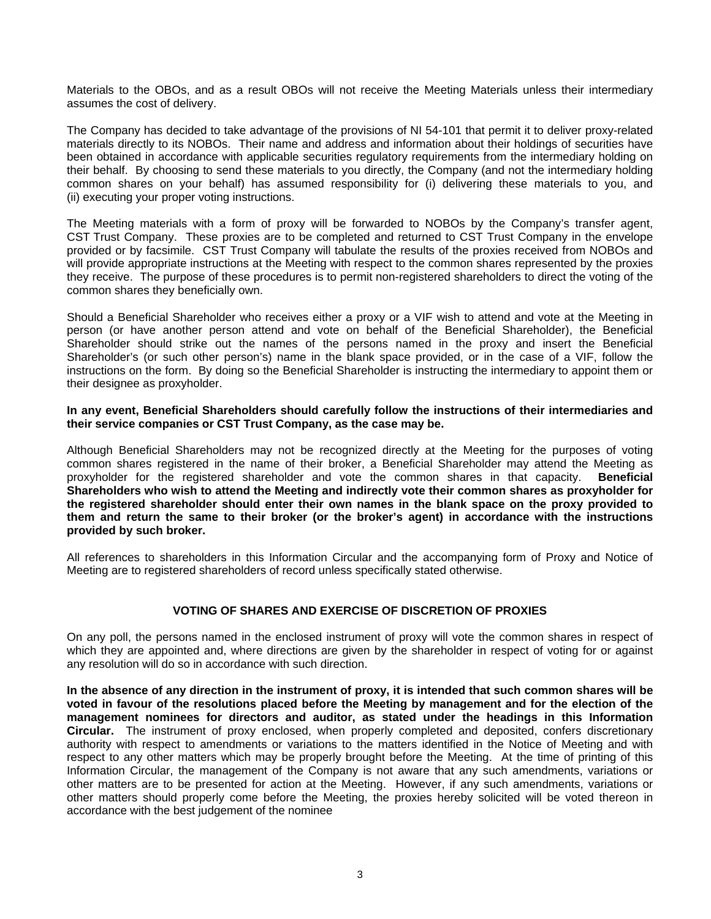Materials to the OBOs, and as a result OBOs will not receive the Meeting Materials unless their intermediary assumes the cost of delivery.

The Company has decided to take advantage of the provisions of NI 54-101 that permit it to deliver proxy-related materials directly to its NOBOs. Their name and address and information about their holdings of securities have been obtained in accordance with applicable securities regulatory requirements from the intermediary holding on their behalf. By choosing to send these materials to you directly, the Company (and not the intermediary holding common shares on your behalf) has assumed responsibility for (i) delivering these materials to you, and (ii) executing your proper voting instructions.

The Meeting materials with a form of proxy will be forwarded to NOBOs by the Company's transfer agent, CST Trust Company. These proxies are to be completed and returned to CST Trust Company in the envelope provided or by facsimile. CST Trust Company will tabulate the results of the proxies received from NOBOs and will provide appropriate instructions at the Meeting with respect to the common shares represented by the proxies they receive. The purpose of these procedures is to permit non-registered shareholders to direct the voting of the common shares they beneficially own.

Should a Beneficial Shareholder who receives either a proxy or a VIF wish to attend and vote at the Meeting in person (or have another person attend and vote on behalf of the Beneficial Shareholder), the Beneficial Shareholder should strike out the names of the persons named in the proxy and insert the Beneficial Shareholder's (or such other person's) name in the blank space provided, or in the case of a VIF, follow the instructions on the form. By doing so the Beneficial Shareholder is instructing the intermediary to appoint them or their designee as proxyholder.

**In any event, Beneficial Shareholders should carefully follow the instructions of their intermediaries and their service companies or CST Trust Company, as the case may be.** 

Although Beneficial Shareholders may not be recognized directly at the Meeting for the purposes of voting common shares registered in the name of their broker, a Beneficial Shareholder may attend the Meeting as proxyholder for the registered shareholder and vote the common shares in that capacity. **Beneficial Shareholders who wish to attend the Meeting and indirectly vote their common shares as proxyholder for the registered shareholder should enter their own names in the blank space on the proxy provided to them and return the same to their broker (or the broker's agent) in accordance with the instructions provided by such broker.** 

All references to shareholders in this Information Circular and the accompanying form of Proxy and Notice of Meeting are to registered shareholders of record unless specifically stated otherwise.

### **VOTING OF SHARES AND EXERCISE OF DISCRETION OF PROXIES**

On any poll, the persons named in the enclosed instrument of proxy will vote the common shares in respect of which they are appointed and, where directions are given by the shareholder in respect of voting for or against any resolution will do so in accordance with such direction.

**In the absence of any direction in the instrument of proxy, it is intended that such common shares will be voted in favour of the resolutions placed before the Meeting by management and for the election of the management nominees for directors and auditor, as stated under the headings in this Information Circular.** The instrument of proxy enclosed, when properly completed and deposited, confers discretionary authority with respect to amendments or variations to the matters identified in the Notice of Meeting and with respect to any other matters which may be properly brought before the Meeting. At the time of printing of this Information Circular, the management of the Company is not aware that any such amendments, variations or other matters are to be presented for action at the Meeting. However, if any such amendments, variations or other matters should properly come before the Meeting, the proxies hereby solicited will be voted thereon in accordance with the best judgement of the nominee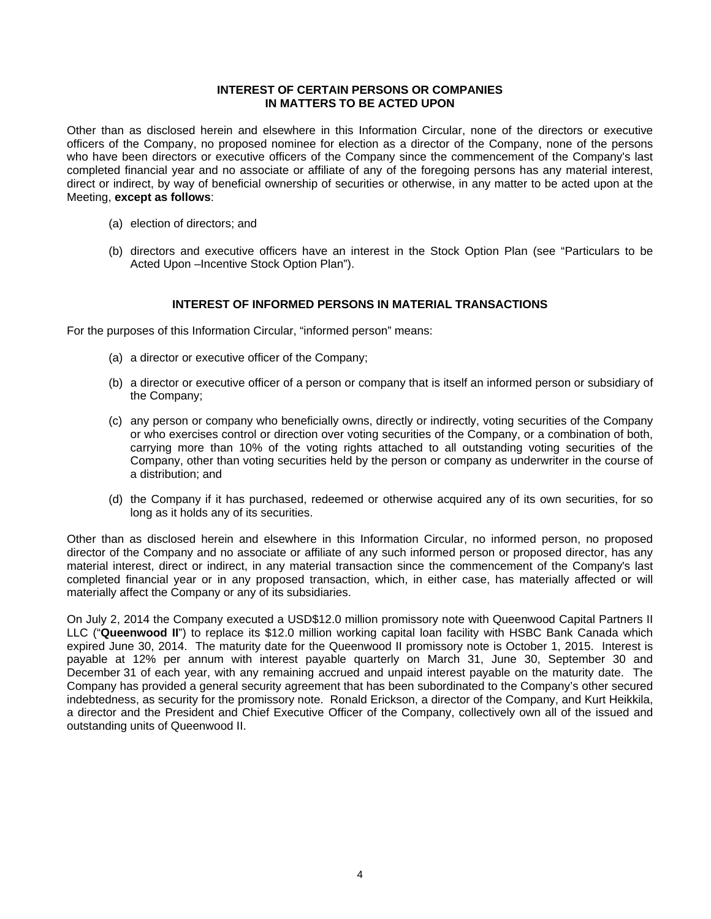### **INTEREST OF CERTAIN PERSONS OR COMPANIES IN MATTERS TO BE ACTED UPON**

Other than as disclosed herein and elsewhere in this Information Circular, none of the directors or executive officers of the Company, no proposed nominee for election as a director of the Company, none of the persons who have been directors or executive officers of the Company since the commencement of the Company's last completed financial year and no associate or affiliate of any of the foregoing persons has any material interest, direct or indirect, by way of beneficial ownership of securities or otherwise, in any matter to be acted upon at the Meeting, **except as follows**:

- (a) election of directors; and
- (b) directors and executive officers have an interest in the Stock Option Plan (see "Particulars to be Acted Upon –Incentive Stock Option Plan").

# **INTEREST OF INFORMED PERSONS IN MATERIAL TRANSACTIONS**

For the purposes of this Information Circular, "informed person" means:

- (a) a director or executive officer of the Company;
- (b) a director or executive officer of a person or company that is itself an informed person or subsidiary of the Company;
- (c) any person or company who beneficially owns, directly or indirectly, voting securities of the Company or who exercises control or direction over voting securities of the Company, or a combination of both, carrying more than 10% of the voting rights attached to all outstanding voting securities of the Company, other than voting securities held by the person or company as underwriter in the course of a distribution; and
- (d) the Company if it has purchased, redeemed or otherwise acquired any of its own securities, for so long as it holds any of its securities.

Other than as disclosed herein and elsewhere in this Information Circular, no informed person, no proposed director of the Company and no associate or affiliate of any such informed person or proposed director, has any material interest, direct or indirect, in any material transaction since the commencement of the Company's last completed financial year or in any proposed transaction, which, in either case, has materially affected or will materially affect the Company or any of its subsidiaries.

On July 2, 2014 the Company executed a USD\$12.0 million promissory note with Queenwood Capital Partners II LLC ("**Queenwood II**") to replace its \$12.0 million working capital loan facility with HSBC Bank Canada which expired June 30, 2014. The maturity date for the Queenwood II promissory note is October 1, 2015. Interest is payable at 12% per annum with interest payable quarterly on March 31, June 30, September 30 and December 31 of each year, with any remaining accrued and unpaid interest payable on the maturity date. The Company has provided a general security agreement that has been subordinated to the Company's other secured indebtedness, as security for the promissory note. Ronald Erickson, a director of the Company, and Kurt Heikkila, a director and the President and Chief Executive Officer of the Company, collectively own all of the issued and outstanding units of Queenwood II.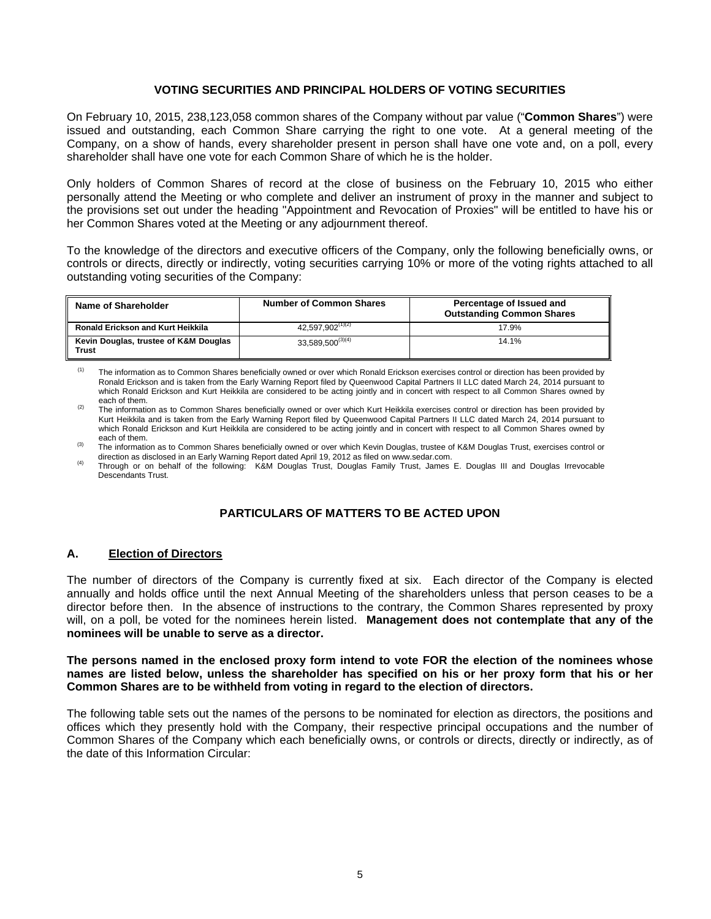## **VOTING SECURITIES AND PRINCIPAL HOLDERS OF VOTING SECURITIES**

On February 10, 2015, 238,123,058 common shares of the Company without par value ("**Common Shares**") were issued and outstanding, each Common Share carrying the right to one vote. At a general meeting of the Company, on a show of hands, every shareholder present in person shall have one vote and, on a poll, every shareholder shall have one vote for each Common Share of which he is the holder.

Only holders of Common Shares of record at the close of business on the February 10, 2015 who either personally attend the Meeting or who complete and deliver an instrument of proxy in the manner and subject to the provisions set out under the heading "Appointment and Revocation of Proxies" will be entitled to have his or her Common Shares voted at the Meeting or any adjournment thereof.

To the knowledge of the directors and executive officers of the Company, only the following beneficially owns, or controls or directs, directly or indirectly, voting securities carrying 10% or more of the voting rights attached to all outstanding voting securities of the Company:

| Name of Shareholder                                   | <b>Number of Common Shares</b> | Percentage of Issued and<br><b>Outstanding Common Shares</b> |
|-------------------------------------------------------|--------------------------------|--------------------------------------------------------------|
| <b>Ronald Erickson and Kurt Heikkila</b>              | 42.597.902 <sup>(1)(2)</sup>   | 17.9%                                                        |
| Kevin Douglas, trustee of K&M Douglas<br><b>Trust</b> | $33.589.500^{(3)(4)}$          | 14.1%                                                        |

<sup>(1)</sup> The information as to Common Shares beneficially owned or over which Ronald Erickson exercises control or direction has been provided by Ronald Erickson and is taken from the Early Warning Report filed by Queenwood Capital Partners II LLC dated March 24, 2014 pursuant to which Ronald Erickson and Kurt Heikkila are considered to be acting jointly and in concert with respect to all Common Shares owned by

each of them.<br>The information as to Common Shares beneficially owned or over which Kurt Heikkila exercises control or direction has been provided by Kurt Heikkila and is taken from the Early Warning Report filed by Queenwood Capital Partners II LLC dated March 24, 2014 pursuant to which Ronald Erickson and Kurt Heikkila are considered to be acting jointly and in concert with respect to all Common Shares owned by

each of them.<br>The information as to Common Shares beneficially owned or over which Kevin Douglas, trustee of K&M Douglas Trust, exercises control or<br>direction as disclosed in an Early Warning Report dated April 19, 2012 as

Through or on behalf of the following: K&M Douglas Trust, Douglas Family Trust, James E. Douglas III and Douglas Irrevocable Descendants Trust.

# **PARTICULARS OF MATTERS TO BE ACTED UPON**

### **A. Election of Directors**

The number of directors of the Company is currently fixed at six. Each director of the Company is elected annually and holds office until the next Annual Meeting of the shareholders unless that person ceases to be a director before then. In the absence of instructions to the contrary, the Common Shares represented by proxy will, on a poll, be voted for the nominees herein listed. **Management does not contemplate that any of the nominees will be unable to serve as a director.**

#### **The persons named in the enclosed proxy form intend to vote FOR the election of the nominees whose names are listed below, unless the shareholder has specified on his or her proxy form that his or her Common Shares are to be withheld from voting in regard to the election of directors.**

The following table sets out the names of the persons to be nominated for election as directors, the positions and offices which they presently hold with the Company, their respective principal occupations and the number of Common Shares of the Company which each beneficially owns, or controls or directs, directly or indirectly, as of the date of this Information Circular: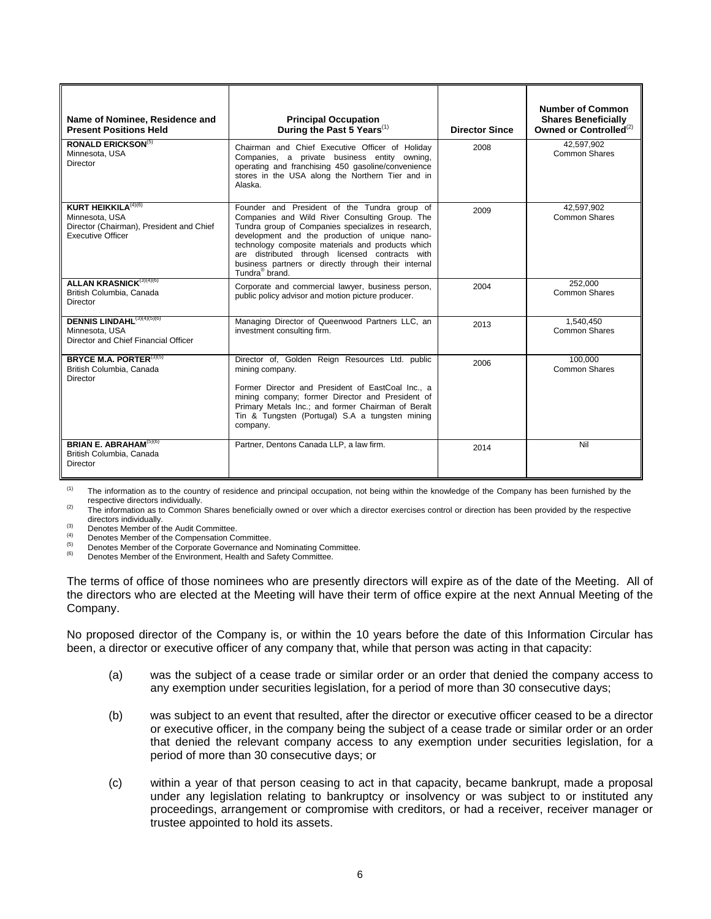| Name of Nominee, Residence and<br><b>Present Positions Held</b>                                                                  | <b>Principal Occupation</b><br>During the Past 5 Years <sup>(1)</sup>                                                                                                                                                                                                                                                                                                                                | <b>Director Since</b> | Number of Common<br><b>Shares Beneficially</b><br>Owned or Controlled <sup>(2)</sup> |
|----------------------------------------------------------------------------------------------------------------------------------|------------------------------------------------------------------------------------------------------------------------------------------------------------------------------------------------------------------------------------------------------------------------------------------------------------------------------------------------------------------------------------------------------|-----------------------|--------------------------------------------------------------------------------------|
| <b>RONALD ERICKSON(5)</b><br>Minnesota, USA<br><b>Director</b>                                                                   | Chairman and Chief Executive Officer of Holiday<br>Companies, a private business entity owning,<br>operating and franchising 450 gasoline/convenience<br>stores in the USA along the Northern Tier and in<br>Alaska.                                                                                                                                                                                 | 2008                  | 42.597.902<br>Common Shares                                                          |
| <b>KURT HEIKKILA</b> <sup>(4)(6)</sup><br>Minnesota, USA<br>Director (Chairman), President and Chief<br><b>Executive Officer</b> | Founder and President of the Tundra group of<br>Companies and Wild River Consulting Group. The<br>Tundra group of Companies specializes in research,<br>development and the production of unique nano-<br>technology composite materials and products which<br>are distributed through licensed contracts with<br>business partners or directly through their internal<br>Tundra <sup>®</sup> brand. | 2009                  | 42,597,902<br>Common Shares                                                          |
| ALLAN KRASNICK <sup>(3)(4)(6)</sup><br>British Columbia, Canada<br><b>Director</b>                                               | Corporate and commercial lawyer, business person,<br>public policy advisor and motion picture producer.                                                                                                                                                                                                                                                                                              | 2004                  | 252,000<br>Common Shares                                                             |
| DENNIS LINDAHL <sup>(3)(4)(5)(6)</sup><br>Minnesota, USA<br>Director and Chief Financial Officer                                 | Managing Director of Queenwood Partners LLC, an<br>investment consulting firm.                                                                                                                                                                                                                                                                                                                       | 2013                  | 1.540.450<br>Common Shares                                                           |
| BRYCE M.A. PORTER(3)(5)<br>British Columbia, Canada<br><b>Director</b>                                                           | Director of, Golden Reign Resources Ltd. public<br>mining company.<br>Former Director and President of EastCoal Inc., a<br>mining company; former Director and President of<br>Primary Metals Inc.; and former Chairman of Beralt<br>Tin & Tungsten (Portugal) S.A a tungsten mining<br>company.                                                                                                     | 2006                  | 100.000<br>Common Shares                                                             |
| <b>BRIAN E. ABRAHAM</b> $(5)(6)$<br>British Columbia, Canada<br>Director                                                         | Partner, Dentons Canada LLP, a law firm.                                                                                                                                                                                                                                                                                                                                                             | 2014                  | Nil                                                                                  |

<sup>(1)</sup> The information as to the country of residence and principal occupation, not being within the knowledge of the Company has been furnished by the

respective directors individually.<br>
The information as to Common Shares beneficially owned or over which a director exercises control or direction has been provided by the respective<br>
<sup>(2)</sup>

directors individually.<br>
(3) Denotes Member of the Audit Committee.<br>
(4) Denotes Member of the Compensation Committee.<br>
(5) Denotes Member of the Corporate Governance and Nominating Committee.<br>
(6) Denotes Member of the En

The terms of office of those nominees who are presently directors will expire as of the date of the Meeting. All of the directors who are elected at the Meeting will have their term of office expire at the next Annual Meeting of the Company.

No proposed director of the Company is, or within the 10 years before the date of this Information Circular has been, a director or executive officer of any company that, while that person was acting in that capacity:

- (a) was the subject of a cease trade or similar order or an order that denied the company access to any exemption under securities legislation, for a period of more than 30 consecutive days;
- (b) was subject to an event that resulted, after the director or executive officer ceased to be a director or executive officer, in the company being the subject of a cease trade or similar order or an order that denied the relevant company access to any exemption under securities legislation, for a period of more than 30 consecutive days; or
- (c) within a year of that person ceasing to act in that capacity, became bankrupt, made a proposal under any legislation relating to bankruptcy or insolvency or was subject to or instituted any proceedings, arrangement or compromise with creditors, or had a receiver, receiver manager or trustee appointed to hold its assets.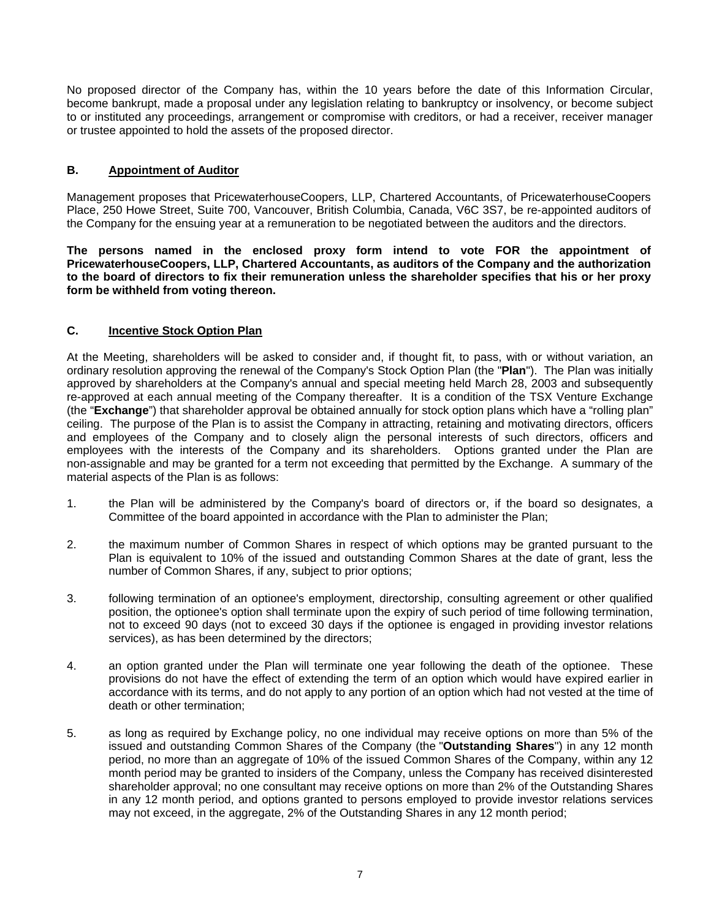No proposed director of the Company has, within the 10 years before the date of this Information Circular, become bankrupt, made a proposal under any legislation relating to bankruptcy or insolvency, or become subject to or instituted any proceedings, arrangement or compromise with creditors, or had a receiver, receiver manager or trustee appointed to hold the assets of the proposed director.

# **B. Appointment of Auditor**

Management proposes that PricewaterhouseCoopers, LLP, Chartered Accountants, of PricewaterhouseCoopers Place, 250 Howe Street, Suite 700, Vancouver, British Columbia, Canada, V6C 3S7, be re-appointed auditors of the Company for the ensuing year at a remuneration to be negotiated between the auditors and the directors.

**The persons named in the enclosed proxy form intend to vote FOR the appointment of PricewaterhouseCoopers, LLP, Chartered Accountants, as auditors of the Company and the authorization to the board of directors to fix their remuneration unless the shareholder specifies that his or her proxy form be withheld from voting thereon.** 

# **C. Incentive Stock Option Plan**

At the Meeting, shareholders will be asked to consider and, if thought fit, to pass, with or without variation, an ordinary resolution approving the renewal of the Company's Stock Option Plan (the "**Plan**"). The Plan was initially approved by shareholders at the Company's annual and special meeting held March 28, 2003 and subsequently re-approved at each annual meeting of the Company thereafter. It is a condition of the TSX Venture Exchange (the "**Exchange**") that shareholder approval be obtained annually for stock option plans which have a "rolling plan" ceiling. The purpose of the Plan is to assist the Company in attracting, retaining and motivating directors, officers and employees of the Company and to closely align the personal interests of such directors, officers and employees with the interests of the Company and its shareholders. Options granted under the Plan are non-assignable and may be granted for a term not exceeding that permitted by the Exchange. A summary of the material aspects of the Plan is as follows:

- 1. the Plan will be administered by the Company's board of directors or, if the board so designates, a Committee of the board appointed in accordance with the Plan to administer the Plan;
- 2. the maximum number of Common Shares in respect of which options may be granted pursuant to the Plan is equivalent to 10% of the issued and outstanding Common Shares at the date of grant, less the number of Common Shares, if any, subject to prior options;
- 3. following termination of an optionee's employment, directorship, consulting agreement or other qualified position, the optionee's option shall terminate upon the expiry of such period of time following termination, not to exceed 90 days (not to exceed 30 days if the optionee is engaged in providing investor relations services), as has been determined by the directors;
- 4. an option granted under the Plan will terminate one year following the death of the optionee. These provisions do not have the effect of extending the term of an option which would have expired earlier in accordance with its terms, and do not apply to any portion of an option which had not vested at the time of death or other termination;
- 5. as long as required by Exchange policy, no one individual may receive options on more than 5% of the issued and outstanding Common Shares of the Company (the "**Outstanding Shares**") in any 12 month period, no more than an aggregate of 10% of the issued Common Shares of the Company, within any 12 month period may be granted to insiders of the Company, unless the Company has received disinterested shareholder approval; no one consultant may receive options on more than 2% of the Outstanding Shares in any 12 month period, and options granted to persons employed to provide investor relations services may not exceed, in the aggregate, 2% of the Outstanding Shares in any 12 month period;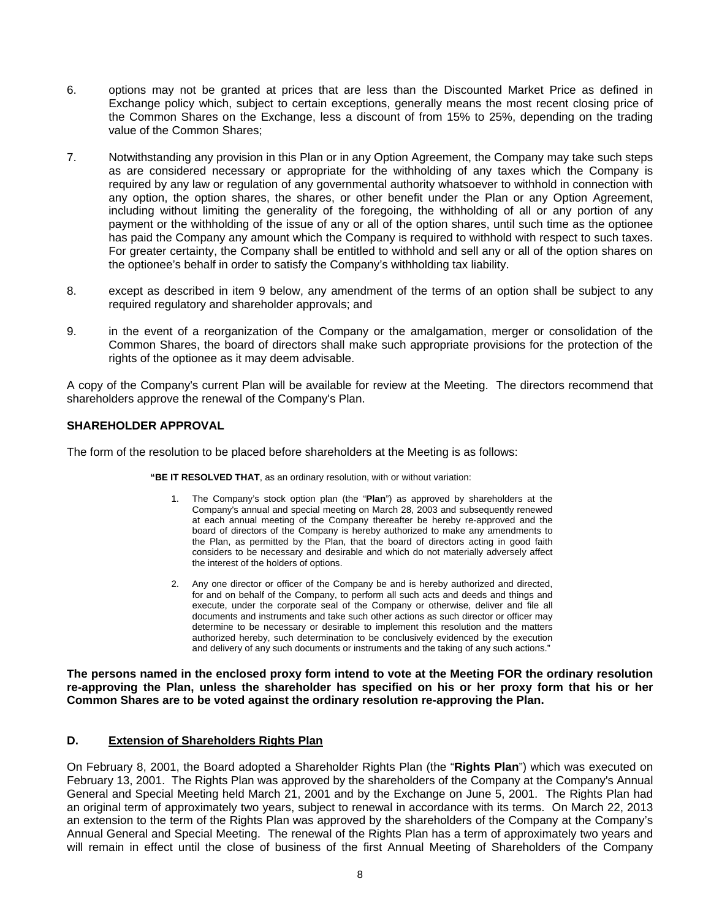- 6. options may not be granted at prices that are less than the Discounted Market Price as defined in Exchange policy which, subject to certain exceptions, generally means the most recent closing price of the Common Shares on the Exchange, less a discount of from 15% to 25%, depending on the trading value of the Common Shares;
- 7. Notwithstanding any provision in this Plan or in any Option Agreement, the Company may take such steps as are considered necessary or appropriate for the withholding of any taxes which the Company is required by any law or regulation of any governmental authority whatsoever to withhold in connection with any option, the option shares, the shares, or other benefit under the Plan or any Option Agreement, including without limiting the generality of the foregoing, the withholding of all or any portion of any payment or the withholding of the issue of any or all of the option shares, until such time as the optionee has paid the Company any amount which the Company is required to withhold with respect to such taxes. For greater certainty, the Company shall be entitled to withhold and sell any or all of the option shares on the optionee's behalf in order to satisfy the Company's withholding tax liability.
- 8. except as described in item 9 below, any amendment of the terms of an option shall be subject to any required regulatory and shareholder approvals; and
- 9. in the event of a reorganization of the Company or the amalgamation, merger or consolidation of the Common Shares, the board of directors shall make such appropriate provisions for the protection of the rights of the optionee as it may deem advisable.

A copy of the Company's current Plan will be available for review at the Meeting. The directors recommend that shareholders approve the renewal of the Company's Plan.

## **SHAREHOLDER APPROVAL**

The form of the resolution to be placed before shareholders at the Meeting is as follows:

**"BE IT RESOLVED THAT**, as an ordinary resolution, with or without variation:

- 1. The Company's stock option plan (the "**Plan**") as approved by shareholders at the Company's annual and special meeting on March 28, 2003 and subsequently renewed at each annual meeting of the Company thereafter be hereby re-approved and the board of directors of the Company is hereby authorized to make any amendments to the Plan, as permitted by the Plan, that the board of directors acting in good faith considers to be necessary and desirable and which do not materially adversely affect the interest of the holders of options.
- 2. Any one director or officer of the Company be and is hereby authorized and directed, for and on behalf of the Company, to perform all such acts and deeds and things and execute, under the corporate seal of the Company or otherwise, deliver and file all documents and instruments and take such other actions as such director or officer may determine to be necessary or desirable to implement this resolution and the matters authorized hereby, such determination to be conclusively evidenced by the execution and delivery of any such documents or instruments and the taking of any such actions."

**The persons named in the enclosed proxy form intend to vote at the Meeting FOR the ordinary resolution re-approving the Plan, unless the shareholder has specified on his or her proxy form that his or her Common Shares are to be voted against the ordinary resolution re-approving the Plan.**

# **D. Extension of Shareholders Rights Plan**

On February 8, 2001, the Board adopted a Shareholder Rights Plan (the "**Rights Plan**") which was executed on February 13, 2001. The Rights Plan was approved by the shareholders of the Company at the Company's Annual General and Special Meeting held March 21, 2001 and by the Exchange on June 5, 2001. The Rights Plan had an original term of approximately two years, subject to renewal in accordance with its terms. On March 22, 2013 an extension to the term of the Rights Plan was approved by the shareholders of the Company at the Company's Annual General and Special Meeting. The renewal of the Rights Plan has a term of approximately two years and will remain in effect until the close of business of the first Annual Meeting of Shareholders of the Company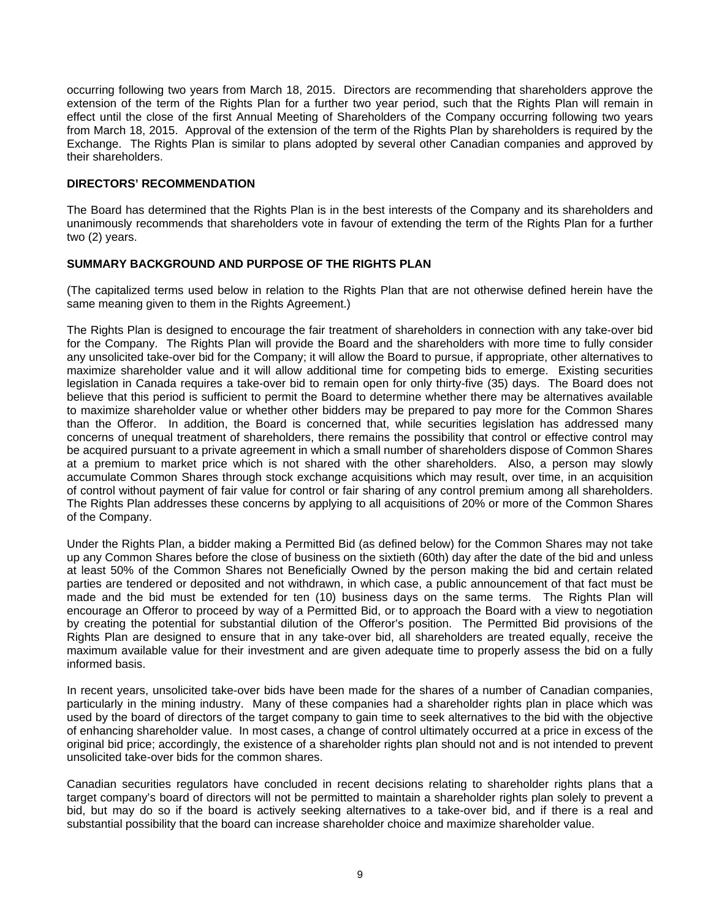occurring following two years from March 18, 2015. Directors are recommending that shareholders approve the extension of the term of the Rights Plan for a further two year period, such that the Rights Plan will remain in effect until the close of the first Annual Meeting of Shareholders of the Company occurring following two years from March 18, 2015. Approval of the extension of the term of the Rights Plan by shareholders is required by the Exchange. The Rights Plan is similar to plans adopted by several other Canadian companies and approved by their shareholders.

## **DIRECTORS' RECOMMENDATION**

The Board has determined that the Rights Plan is in the best interests of the Company and its shareholders and unanimously recommends that shareholders vote in favour of extending the term of the Rights Plan for a further two (2) years.

# **SUMMARY BACKGROUND AND PURPOSE OF THE RIGHTS PLAN**

(The capitalized terms used below in relation to the Rights Plan that are not otherwise defined herein have the same meaning given to them in the Rights Agreement.)

The Rights Plan is designed to encourage the fair treatment of shareholders in connection with any take-over bid for the Company. The Rights Plan will provide the Board and the shareholders with more time to fully consider any unsolicited take-over bid for the Company; it will allow the Board to pursue, if appropriate, other alternatives to maximize shareholder value and it will allow additional time for competing bids to emerge. Existing securities legislation in Canada requires a take-over bid to remain open for only thirty-five (35) days. The Board does not believe that this period is sufficient to permit the Board to determine whether there may be alternatives available to maximize shareholder value or whether other bidders may be prepared to pay more for the Common Shares than the Offeror. In addition, the Board is concerned that, while securities legislation has addressed many concerns of unequal treatment of shareholders, there remains the possibility that control or effective control may be acquired pursuant to a private agreement in which a small number of shareholders dispose of Common Shares at a premium to market price which is not shared with the other shareholders. Also, a person may slowly accumulate Common Shares through stock exchange acquisitions which may result, over time, in an acquisition of control without payment of fair value for control or fair sharing of any control premium among all shareholders. The Rights Plan addresses these concerns by applying to all acquisitions of 20% or more of the Common Shares of the Company.

Under the Rights Plan, a bidder making a Permitted Bid (as defined below) for the Common Shares may not take up any Common Shares before the close of business on the sixtieth (60th) day after the date of the bid and unless at least 50% of the Common Shares not Beneficially Owned by the person making the bid and certain related parties are tendered or deposited and not withdrawn, in which case, a public announcement of that fact must be made and the bid must be extended for ten (10) business days on the same terms. The Rights Plan will encourage an Offeror to proceed by way of a Permitted Bid, or to approach the Board with a view to negotiation by creating the potential for substantial dilution of the Offeror's position. The Permitted Bid provisions of the Rights Plan are designed to ensure that in any take-over bid, all shareholders are treated equally, receive the maximum available value for their investment and are given adequate time to properly assess the bid on a fully informed basis.

In recent years, unsolicited take-over bids have been made for the shares of a number of Canadian companies, particularly in the mining industry. Many of these companies had a shareholder rights plan in place which was used by the board of directors of the target company to gain time to seek alternatives to the bid with the objective of enhancing shareholder value. In most cases, a change of control ultimately occurred at a price in excess of the original bid price; accordingly, the existence of a shareholder rights plan should not and is not intended to prevent unsolicited take-over bids for the common shares.

Canadian securities regulators have concluded in recent decisions relating to shareholder rights plans that a target company's board of directors will not be permitted to maintain a shareholder rights plan solely to prevent a bid, but may do so if the board is actively seeking alternatives to a take-over bid, and if there is a real and substantial possibility that the board can increase shareholder choice and maximize shareholder value.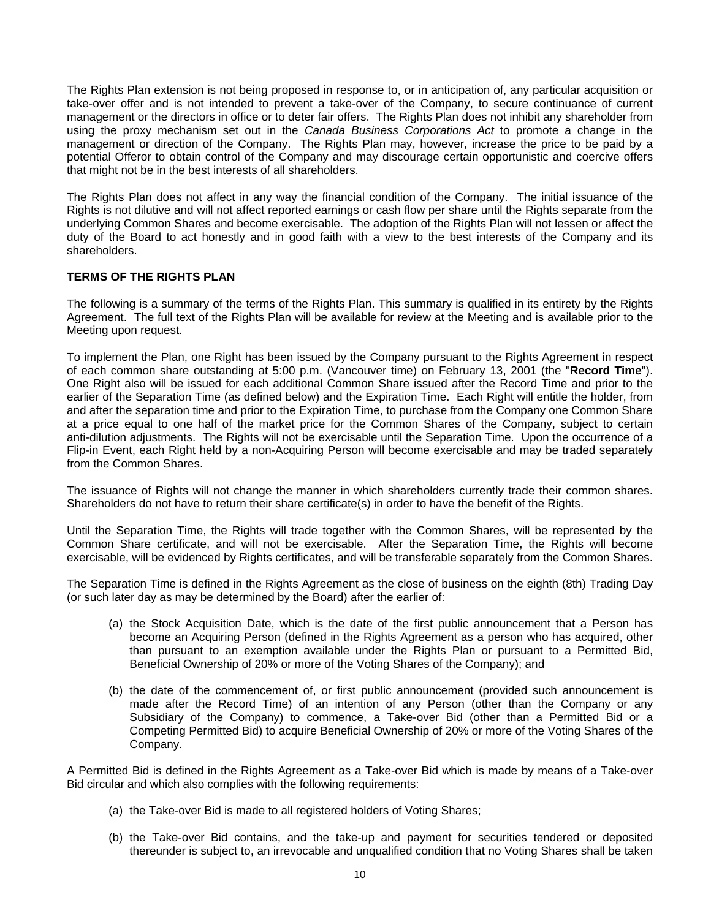The Rights Plan extension is not being proposed in response to, or in anticipation of, any particular acquisition or take-over offer and is not intended to prevent a take-over of the Company, to secure continuance of current management or the directors in office or to deter fair offers. The Rights Plan does not inhibit any shareholder from using the proxy mechanism set out in the *Canada Business Corporations Act* to promote a change in the management or direction of the Company. The Rights Plan may, however, increase the price to be paid by a potential Offeror to obtain control of the Company and may discourage certain opportunistic and coercive offers that might not be in the best interests of all shareholders.

The Rights Plan does not affect in any way the financial condition of the Company. The initial issuance of the Rights is not dilutive and will not affect reported earnings or cash flow per share until the Rights separate from the underlying Common Shares and become exercisable. The adoption of the Rights Plan will not lessen or affect the duty of the Board to act honestly and in good faith with a view to the best interests of the Company and its shareholders.

## **TERMS OF THE RIGHTS PLAN**

The following is a summary of the terms of the Rights Plan. This summary is qualified in its entirety by the Rights Agreement. The full text of the Rights Plan will be available for review at the Meeting and is available prior to the Meeting upon request.

To implement the Plan, one Right has been issued by the Company pursuant to the Rights Agreement in respect of each common share outstanding at 5:00 p.m. (Vancouver time) on February 13, 2001 (the "**Record Time**"). One Right also will be issued for each additional Common Share issued after the Record Time and prior to the earlier of the Separation Time (as defined below) and the Expiration Time. Each Right will entitle the holder, from and after the separation time and prior to the Expiration Time, to purchase from the Company one Common Share at a price equal to one half of the market price for the Common Shares of the Company, subject to certain anti-dilution adjustments. The Rights will not be exercisable until the Separation Time. Upon the occurrence of a Flip-in Event, each Right held by a non-Acquiring Person will become exercisable and may be traded separately from the Common Shares.

The issuance of Rights will not change the manner in which shareholders currently trade their common shares. Shareholders do not have to return their share certificate(s) in order to have the benefit of the Rights.

Until the Separation Time, the Rights will trade together with the Common Shares, will be represented by the Common Share certificate, and will not be exercisable. After the Separation Time, the Rights will become exercisable, will be evidenced by Rights certificates, and will be transferable separately from the Common Shares.

The Separation Time is defined in the Rights Agreement as the close of business on the eighth (8th) Trading Day (or such later day as may be determined by the Board) after the earlier of:

- (a) the Stock Acquisition Date, which is the date of the first public announcement that a Person has become an Acquiring Person (defined in the Rights Agreement as a person who has acquired, other than pursuant to an exemption available under the Rights Plan or pursuant to a Permitted Bid, Beneficial Ownership of 20% or more of the Voting Shares of the Company); and
- (b) the date of the commencement of, or first public announcement (provided such announcement is made after the Record Time) of an intention of any Person (other than the Company or any Subsidiary of the Company) to commence, a Take-over Bid (other than a Permitted Bid or a Competing Permitted Bid) to acquire Beneficial Ownership of 20% or more of the Voting Shares of the Company.

A Permitted Bid is defined in the Rights Agreement as a Take-over Bid which is made by means of a Take-over Bid circular and which also complies with the following requirements:

- (a) the Take-over Bid is made to all registered holders of Voting Shares;
- (b) the Take-over Bid contains, and the take-up and payment for securities tendered or deposited thereunder is subject to, an irrevocable and unqualified condition that no Voting Shares shall be taken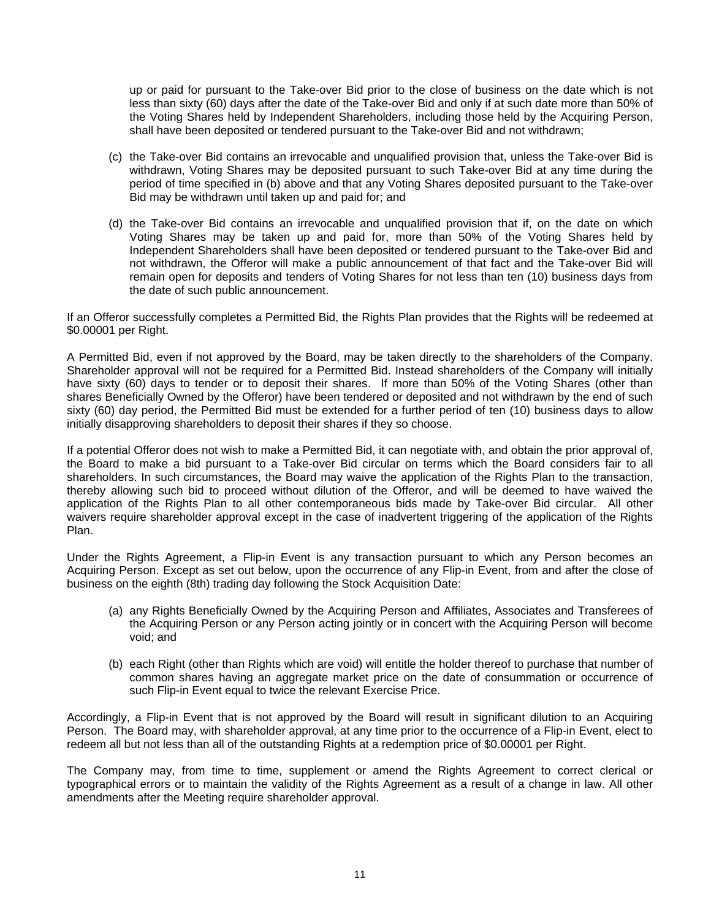up or paid for pursuant to the Take-over Bid prior to the close of business on the date which is not less than sixty (60) days after the date of the Take-over Bid and only if at such date more than 50% of the Voting Shares held by Independent Shareholders, including those held by the Acquiring Person, shall have been deposited or tendered pursuant to the Take-over Bid and not withdrawn;

- (c) the Take-over Bid contains an irrevocable and unqualified provision that, unless the Take-over Bid is withdrawn, Voting Shares may be deposited pursuant to such Take-over Bid at any time during the period of time specified in (b) above and that any Voting Shares deposited pursuant to the Take-over Bid may be withdrawn until taken up and paid for; and
- (d) the Take-over Bid contains an irrevocable and unqualified provision that if, on the date on which Voting Shares may be taken up and paid for, more than 50% of the Voting Shares held by Independent Shareholders shall have been deposited or tendered pursuant to the Take-over Bid and not withdrawn, the Offeror will make a public announcement of that fact and the Take-over Bid will remain open for deposits and tenders of Voting Shares for not less than ten (10) business days from the date of such public announcement.

If an Offeror successfully completes a Permitted Bid, the Rights Plan provides that the Rights will be redeemed at \$0.00001 per Right.

A Permitted Bid, even if not approved by the Board, may be taken directly to the shareholders of the Company. Shareholder approval will not be required for a Permitted Bid. Instead shareholders of the Company will initially have sixty (60) days to tender or to deposit their shares. If more than 50% of the Voting Shares (other than shares Beneficially Owned by the Offeror) have been tendered or deposited and not withdrawn by the end of such sixty (60) day period, the Permitted Bid must be extended for a further period of ten (10) business days to allow initially disapproving shareholders to deposit their shares if they so choose.

If a potential Offeror does not wish to make a Permitted Bid, it can negotiate with, and obtain the prior approval of, the Board to make a bid pursuant to a Take-over Bid circular on terms which the Board considers fair to all shareholders. In such circumstances, the Board may waive the application of the Rights Plan to the transaction, thereby allowing such bid to proceed without dilution of the Offeror, and will be deemed to have waived the application of the Rights Plan to all other contemporaneous bids made by Take-over Bid circular. All other waivers require shareholder approval except in the case of inadvertent triggering of the application of the Rights Plan.

Under the Rights Agreement, a Flip-in Event is any transaction pursuant to which any Person becomes an Acquiring Person. Except as set out below, upon the occurrence of any Flip-in Event, from and after the close of business on the eighth (8th) trading day following the Stock Acquisition Date:

- (a) any Rights Beneficially Owned by the Acquiring Person and Affiliates, Associates and Transferees of the Acquiring Person or any Person acting jointly or in concert with the Acquiring Person will become void; and
- (b) each Right (other than Rights which are void) will entitle the holder thereof to purchase that number of common shares having an aggregate market price on the date of consummation or occurrence of such Flip-in Event equal to twice the relevant Exercise Price.

Accordingly, a Flip-in Event that is not approved by the Board will result in significant dilution to an Acquiring Person. The Board may, with shareholder approval, at any time prior to the occurrence of a Flip-in Event, elect to redeem all but not less than all of the outstanding Rights at a redemption price of \$0.00001 per Right.

The Company may, from time to time, supplement or amend the Rights Agreement to correct clerical or typographical errors or to maintain the validity of the Rights Agreement as a result of a change in law. All other amendments after the Meeting require shareholder approval.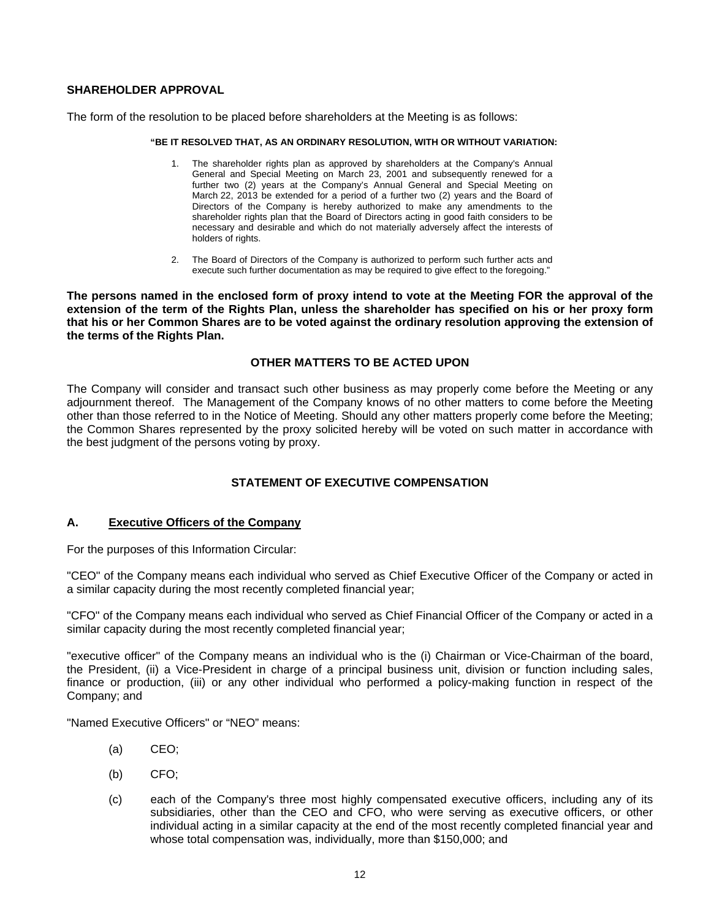# **SHAREHOLDER APPROVAL**

The form of the resolution to be placed before shareholders at the Meeting is as follows:

#### **"BE IT RESOLVED THAT, AS AN ORDINARY RESOLUTION, WITH OR WITHOUT VARIATION:**

- 1. The shareholder rights plan as approved by shareholders at the Company's Annual General and Special Meeting on March 23, 2001 and subsequently renewed for a further two (2) years at the Company's Annual General and Special Meeting on March 22, 2013 be extended for a period of a further two (2) years and the Board of Directors of the Company is hereby authorized to make any amendments to the shareholder rights plan that the Board of Directors acting in good faith considers to be necessary and desirable and which do not materially adversely affect the interests of holders of rights.
- 2. The Board of Directors of the Company is authorized to perform such further acts and execute such further documentation as may be required to give effect to the foregoing."

**The persons named in the enclosed form of proxy intend to vote at the Meeting FOR the approval of the extension of the term of the Rights Plan, unless the shareholder has specified on his or her proxy form that his or her Common Shares are to be voted against the ordinary resolution approving the extension of the terms of the Rights Plan.**

### **OTHER MATTERS TO BE ACTED UPON**

The Company will consider and transact such other business as may properly come before the Meeting or any adjournment thereof. The Management of the Company knows of no other matters to come before the Meeting other than those referred to in the Notice of Meeting. Should any other matters properly come before the Meeting; the Common Shares represented by the proxy solicited hereby will be voted on such matter in accordance with the best judgment of the persons voting by proxy.

# **STATEMENT OF EXECUTIVE COMPENSATION**

## **A. Executive Officers of the Company**

For the purposes of this Information Circular:

"CEO" of the Company means each individual who served as Chief Executive Officer of the Company or acted in a similar capacity during the most recently completed financial year;

"CFO" of the Company means each individual who served as Chief Financial Officer of the Company or acted in a similar capacity during the most recently completed financial year;

"executive officer" of the Company means an individual who is the (i) Chairman or Vice-Chairman of the board, the President, (ii) a Vice-President in charge of a principal business unit, division or function including sales, finance or production, (iii) or any other individual who performed a policy-making function in respect of the Company; and

"Named Executive Officers" or "NEO" means:

- (a) CEO;
- (b) CFO;
- (c) each of the Company's three most highly compensated executive officers, including any of its subsidiaries, other than the CEO and CFO, who were serving as executive officers, or other individual acting in a similar capacity at the end of the most recently completed financial year and whose total compensation was, individually, more than \$150,000; and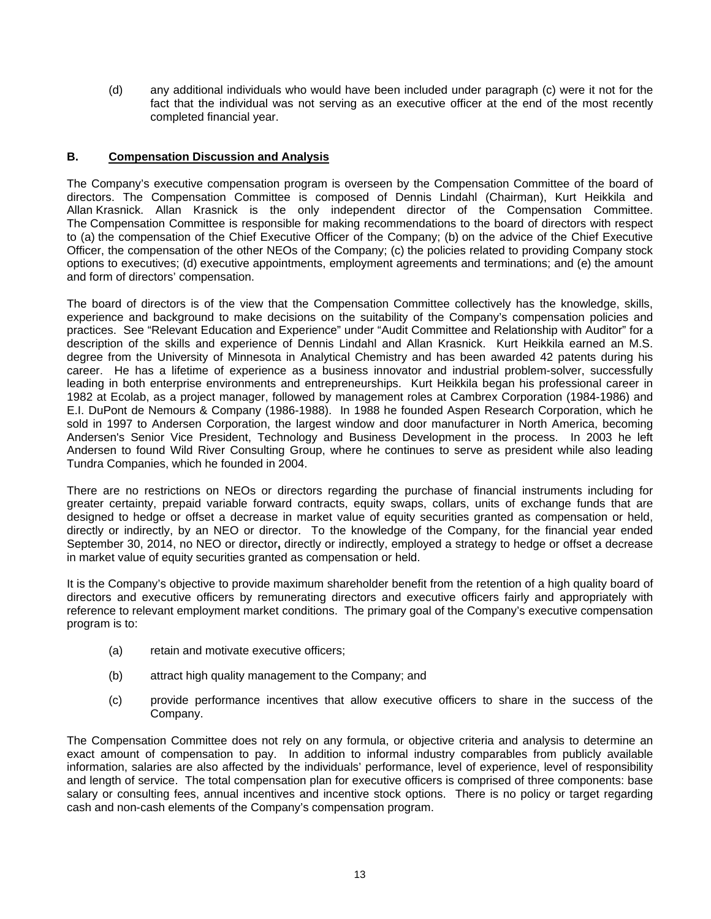(d) any additional individuals who would have been included under paragraph (c) were it not for the fact that the individual was not serving as an executive officer at the end of the most recently completed financial year.

# **B. Compensation Discussion and Analysis**

The Company's executive compensation program is overseen by the Compensation Committee of the board of directors. The Compensation Committee is composed of Dennis Lindahl (Chairman), Kurt Heikkila and Allan Krasnick. Allan Krasnick is the only independent director of the Compensation Committee. The Compensation Committee is responsible for making recommendations to the board of directors with respect to (a) the compensation of the Chief Executive Officer of the Company; (b) on the advice of the Chief Executive Officer, the compensation of the other NEOs of the Company; (c) the policies related to providing Company stock options to executives; (d) executive appointments, employment agreements and terminations; and (e) the amount and form of directors' compensation.

The board of directors is of the view that the Compensation Committee collectively has the knowledge, skills, experience and background to make decisions on the suitability of the Company's compensation policies and practices. See "Relevant Education and Experience" under "Audit Committee and Relationship with Auditor" for a description of the skills and experience of Dennis Lindahl and Allan Krasnick. Kurt Heikkila earned an M.S. degree from the University of Minnesota in Analytical Chemistry and has been awarded 42 patents during his career. He has a lifetime of experience as a business innovator and industrial problem-solver, successfully leading in both enterprise environments and entrepreneurships. Kurt Heikkila began his professional career in 1982 at Ecolab, as a project manager, followed by management roles at Cambrex Corporation (1984-1986) and E.I. DuPont de Nemours & Company (1986-1988). In 1988 he founded Aspen Research Corporation, which he sold in 1997 to Andersen Corporation, the largest window and door manufacturer in North America, becoming Andersen's Senior Vice President, Technology and Business Development in the process. In 2003 he left Andersen to found Wild River Consulting Group, where he continues to serve as president while also leading Tundra Companies, which he founded in 2004.

There are no restrictions on NEOs or directors regarding the purchase of financial instruments including for greater certainty, prepaid variable forward contracts, equity swaps, collars, units of exchange funds that are designed to hedge or offset a decrease in market value of equity securities granted as compensation or held, directly or indirectly, by an NEO or director. To the knowledge of the Company, for the financial year ended September 30, 2014, no NEO or director**,** directly or indirectly, employed a strategy to hedge or offset a decrease in market value of equity securities granted as compensation or held.

It is the Company's objective to provide maximum shareholder benefit from the retention of a high quality board of directors and executive officers by remunerating directors and executive officers fairly and appropriately with reference to relevant employment market conditions. The primary goal of the Company's executive compensation program is to:

- (a) retain and motivate executive officers;
- (b) attract high quality management to the Company; and
- (c) provide performance incentives that allow executive officers to share in the success of the Company.

The Compensation Committee does not rely on any formula, or objective criteria and analysis to determine an exact amount of compensation to pay. In addition to informal industry comparables from publicly available information, salaries are also affected by the individuals' performance, level of experience, level of responsibility and length of service. The total compensation plan for executive officers is comprised of three components: base salary or consulting fees, annual incentives and incentive stock options. There is no policy or target regarding cash and non-cash elements of the Company's compensation program.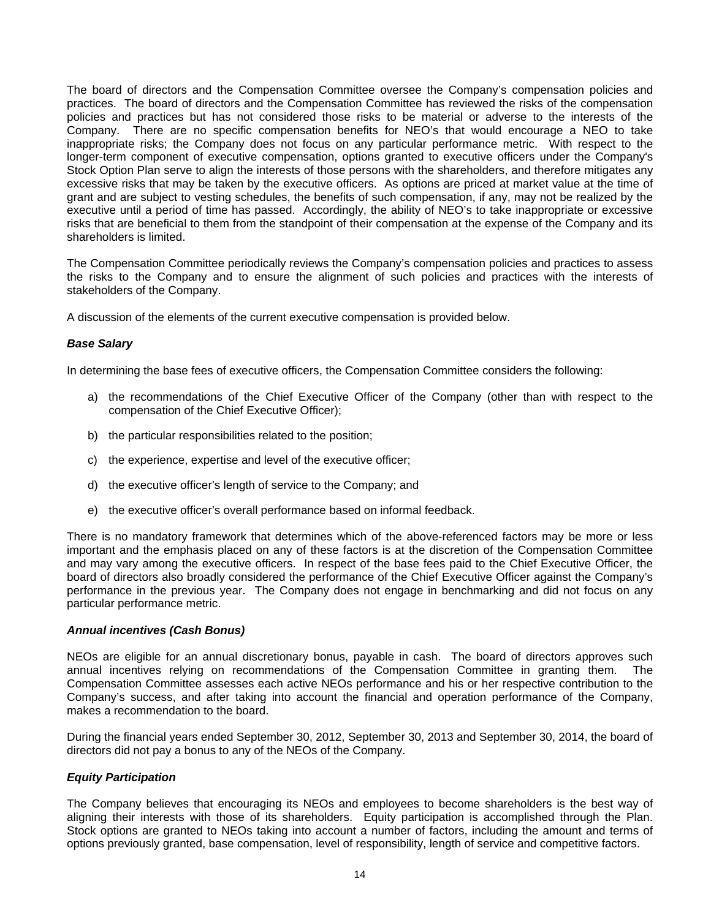The board of directors and the Compensation Committee oversee the Company's compensation policies and practices. The board of directors and the Compensation Committee has reviewed the risks of the compensation policies and practices but has not considered those risks to be material or adverse to the interests of the Company. There are no specific compensation benefits for NEO's that would encourage a NEO to take inappropriate risks; the Company does not focus on any particular performance metric. With respect to the longer-term component of executive compensation, options granted to executive officers under the Company's Stock Option Plan serve to align the interests of those persons with the shareholders, and therefore mitigates any excessive risks that may be taken by the executive officers. As options are priced at market value at the time of grant and are subject to vesting schedules, the benefits of such compensation, if any, may not be realized by the executive until a period of time has passed. Accordingly, the ability of NEO's to take inappropriate or excessive risks that are beneficial to them from the standpoint of their compensation at the expense of the Company and its shareholders is limited.

The Compensation Committee periodically reviews the Company's compensation policies and practices to assess the risks to the Company and to ensure the alignment of such policies and practices with the interests of stakeholders of the Company.

A discussion of the elements of the current executive compensation is provided below.

### *Base Salary*

In determining the base fees of executive officers, the Compensation Committee considers the following:

- a) the recommendations of the Chief Executive Officer of the Company (other than with respect to the compensation of the Chief Executive Officer);
- b) the particular responsibilities related to the position;
- c) the experience, expertise and level of the executive officer;
- d) the executive officer's length of service to the Company; and
- e) the executive officer's overall performance based on informal feedback.

There is no mandatory framework that determines which of the above-referenced factors may be more or less important and the emphasis placed on any of these factors is at the discretion of the Compensation Committee and may vary among the executive officers. In respect of the base fees paid to the Chief Executive Officer, the board of directors also broadly considered the performance of the Chief Executive Officer against the Company's performance in the previous year. The Company does not engage in benchmarking and did not focus on any particular performance metric.

### *Annual incentives (Cash Bonus)*

NEOs are eligible for an annual discretionary bonus, payable in cash. The board of directors approves such annual incentives relying on recommendations of the Compensation Committee in granting them. The Compensation Committee assesses each active NEOs performance and his or her respective contribution to the Company's success, and after taking into account the financial and operation performance of the Company, makes a recommendation to the board.

During the financial years ended September 30, 2012, September 30, 2013 and September 30, 2014, the board of directors did not pay a bonus to any of the NEOs of the Company.

#### *Equity Participation*

The Company believes that encouraging its NEOs and employees to become shareholders is the best way of aligning their interests with those of its shareholders. Equity participation is accomplished through the Plan. Stock options are granted to NEOs taking into account a number of factors, including the amount and terms of options previously granted, base compensation, level of responsibility, length of service and competitive factors.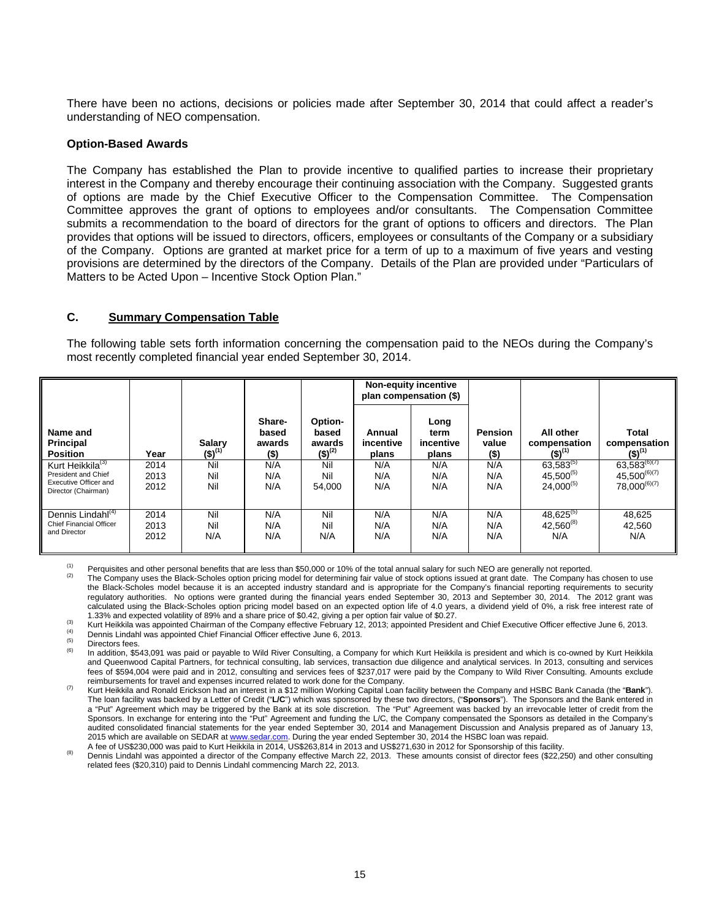There have been no actions, decisions or policies made after September 30, 2014 that could affect a reader's understanding of NEO compensation.

#### **Option-Based Awards**

The Company has established the Plan to provide incentive to qualified parties to increase their proprietary interest in the Company and thereby encourage their continuing association with the Company. Suggested grants of options are made by the Chief Executive Officer to the Compensation Committee. The Compensation Committee approves the grant of options to employees and/or consultants. The Compensation Committee submits a recommendation to the board of directors for the grant of options to officers and directors. The Plan provides that options will be issued to directors, officers, employees or consultants of the Company or a subsidiary of the Company. Options are granted at market price for a term of up to a maximum of five years and vesting provisions are determined by the directors of the Company. Details of the Plan are provided under "Particulars of Matters to be Acted Upon – Incentive Stock Option Plan."

#### **C. Summary Compensation Table**

The following table sets forth information concerning the compensation paid to the NEOs during the Company's most recently completed financial year ended September 30, 2014.

|                                                                                                     |                      |                              |                                   |                                           |                              | Non-equity incentive<br>plan compensation (\$) |                                 |                                                    |                                                             |
|-----------------------------------------------------------------------------------------------------|----------------------|------------------------------|-----------------------------------|-------------------------------------------|------------------------------|------------------------------------------------|---------------------------------|----------------------------------------------------|-------------------------------------------------------------|
| Name and<br><b>Principal</b><br><b>Position</b>                                                     | Year                 | <b>Salary</b><br>$(5)^{(1)}$ | Share-<br>based<br>awards<br>(\$) | Option-<br>based<br>awards<br>$(5)^{(2)}$ | Annual<br>incentive<br>plans | Long<br>term<br>incentive<br>plans             | <b>Pension</b><br>value<br>(\$) | All other<br>compensation<br>$(5)^{(1)}$           | <b>Total</b><br>compensation<br>$(5)^{(1)}$                 |
| Kurt Heikkila <sup>(3)</sup><br>President and Chief<br>Executive Officer and<br>Director (Chairman) | 2014<br>2013<br>2012 | Nil<br>Nil<br>Nil            | N/A<br>N/A<br>N/A                 | Nil<br>Nil<br>54.000                      | N/A<br>N/A<br>N/A            | N/A<br>N/A<br>N/A                              | N/A<br>N/A<br>N/A               | $63,583^{(5)}$<br>$45,500^{(5)}$<br>$24,000^{(5)}$ | $63,583^{(6)(7)}$<br>$45,500^{(6)(7)}$<br>$78,000^{(6)(7)}$ |
| Dennis Lindahl <sup>(4)</sup><br><b>Chief Financial Officer</b><br>and Director                     | 2014<br>2013<br>2012 | Nil<br>Nil<br>N/A            | N/A<br>N/A<br>N/A                 | Nil<br>Nil<br>N/A                         | N/A<br>N/A<br>N/A            | N/A<br>N/A<br>N/A                              | N/A<br>N/A<br>N/A               | $48,625^{(5)}$<br>$42,560^{(8)}$<br>N/A            | 48,625<br>42.560<br>N/A                                     |

<sup>(1)</sup> Perquisites and other personal benefits that are less than \$50,000 or 10% of the total annual salary for such NEO are generally not reported.<br><sup>(2)</sup> The Company uses the Black-Scholes option pricing model for determin

the Black-Scholes model because it is an accepted industry standard and is appropriate for the Company's financial reporting requirements to security regulatory authorities. No options were granted during the financial years ended September 30, 2013 and September 30, 2014. The 2012 grant was calculated using the Black-Scholes option pricing model based on an expected option life of 4.0 years, a dividend yield of 0%, a risk free interest rate of

1.33% and expected volatility of 89% and a share price of \$0.42, giving a per option fair value of \$0.27.<br><sup>(3)</sup> Kurt Heikkila was appointed Chairman of the Company effective February 12, 2013; appointed President and Chie

and Queenwood Capital Partners, for technical consulting, lab services, transaction due diligence and analytical services. In 2013, consulting and services fees of \$594,004 were paid and in 2012, consulting and services fees of \$237,017 were paid by the Company to Wild River Consulting. Amounts exclude

(7) Kurt Heikkila and Ronald Erickson had an interest in a \$12 million Working Capital Loan facility between the Company and HSBC Bank Canada (the "Bank"). The loan facility was backed by a Letter of Credit ("**L/C**") which was sponsored by these two directors, ("**Sponsors**"). The Sponsors and the Bank entered in a "Put" Agreement which may be triggered by the Bank at its sole discretion. The "Put" Agreement was backed by an irrevocable letter of credit from the Sponsors. In exchange for entering into the "Put" Agreement and funding the L/C, the Company compensated the Sponsors as detailed in the Company's audited consolidated financial statements for the year ended September 30, 2014 and Management Discussion and Analysis prepared as of January 13, 2015 which are available on SEDAR at www.sedar.com. During the year ended September 30, 2014 the HSBC loan was repaid.<br>A fee of US\$230,000 was paid to Kurt Heikkila in 2014, US\$263,814 in 2013 and US\$271,630 in 2012 for Sp

Dennis Lindahl was appointed a director of the Company effective March 22, 2013. These amounts consist of director fees (\$22,250) and other consulting related fees (\$20,310) paid to Dennis Lindahl commencing March 22, 2013.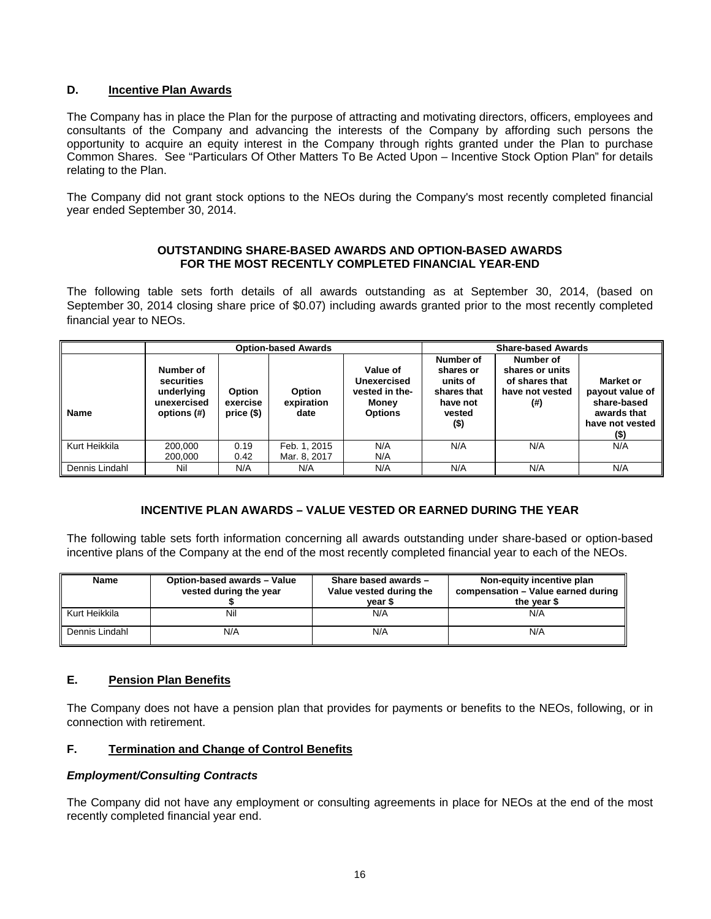# **D. Incentive Plan Awards**

The Company has in place the Plan for the purpose of attracting and motivating directors, officers, employees and consultants of the Company and advancing the interests of the Company by affording such persons the opportunity to acquire an equity interest in the Company through rights granted under the Plan to purchase Common Shares. See "Particulars Of Other Matters To Be Acted Upon – Incentive Stock Option Plan" for details relating to the Plan.

The Company did not grant stock options to the NEOs during the Company's most recently completed financial year ended September 30, 2014.

### **OUTSTANDING SHARE-BASED AWARDS AND OPTION-BASED AWARDS FOR THE MOST RECENTLY COMPLETED FINANCIAL YEAR-END**

The following table sets forth details of all awards outstanding as at September 30, 2014, (based on September 30, 2014 closing share price of \$0.07) including awards granted prior to the most recently completed financial year to NEOs.

|                |                                                                     |                                         | <b>Option-based Awards</b>   |                                                                      |                                                                                    | <b>Share-based Awards</b>                                                   |                                                                                          |
|----------------|---------------------------------------------------------------------|-----------------------------------------|------------------------------|----------------------------------------------------------------------|------------------------------------------------------------------------------------|-----------------------------------------------------------------------------|------------------------------------------------------------------------------------------|
| <b>Name</b>    | Number of<br>securities<br>underlying<br>unexercised<br>options (#) | <b>Option</b><br>exercise<br>$price($)$ | Option<br>expiration<br>date | Value of<br>Unexercised<br>vested in the-<br>Money<br><b>Options</b> | Number of<br>shares or<br>units of<br>shares that<br>have not<br>vested<br>$($ \$) | Number of<br>shares or units<br>of shares that<br>have not vested<br>$($ #) | Market or<br>payout value of<br>share-based<br>awards that<br>have not vested<br>$($ \$) |
| Kurt Heikkila  | 200.000                                                             | 0.19                                    | Feb. 1, 2015                 | N/A                                                                  | N/A                                                                                | N/A                                                                         | N/A                                                                                      |
|                | 200,000                                                             | 0.42                                    | Mar. 8, 2017                 | N/A                                                                  |                                                                                    |                                                                             |                                                                                          |
| Dennis Lindahl | Nil                                                                 | N/A                                     | N/A                          | N/A                                                                  | N/A                                                                                | N/A                                                                         | N/A                                                                                      |

# **INCENTIVE PLAN AWARDS – VALUE VESTED OR EARNED DURING THE YEAR**

The following table sets forth information concerning all awards outstanding under share-based or option-based incentive plans of the Company at the end of the most recently completed financial year to each of the NEOs.

| Name           | Option-based awards - Value<br>vested during the year | Share based awards -<br>Value vested during the<br>vear \$ | Non-equity incentive plan<br>compensation - Value earned during<br>the vear \$ |
|----------------|-------------------------------------------------------|------------------------------------------------------------|--------------------------------------------------------------------------------|
| Kurt Heikkila  | Nil                                                   | N/A                                                        | N/A                                                                            |
| Dennis Lindahl | N/A                                                   | N/A                                                        | N/A                                                                            |

# **E. Pension Plan Benefits**

The Company does not have a pension plan that provides for payments or benefits to the NEOs, following, or in connection with retirement.

### **F. Termination and Change of Control Benefits**

# *Employment/Consulting Contracts*

The Company did not have any employment or consulting agreements in place for NEOs at the end of the most recently completed financial year end.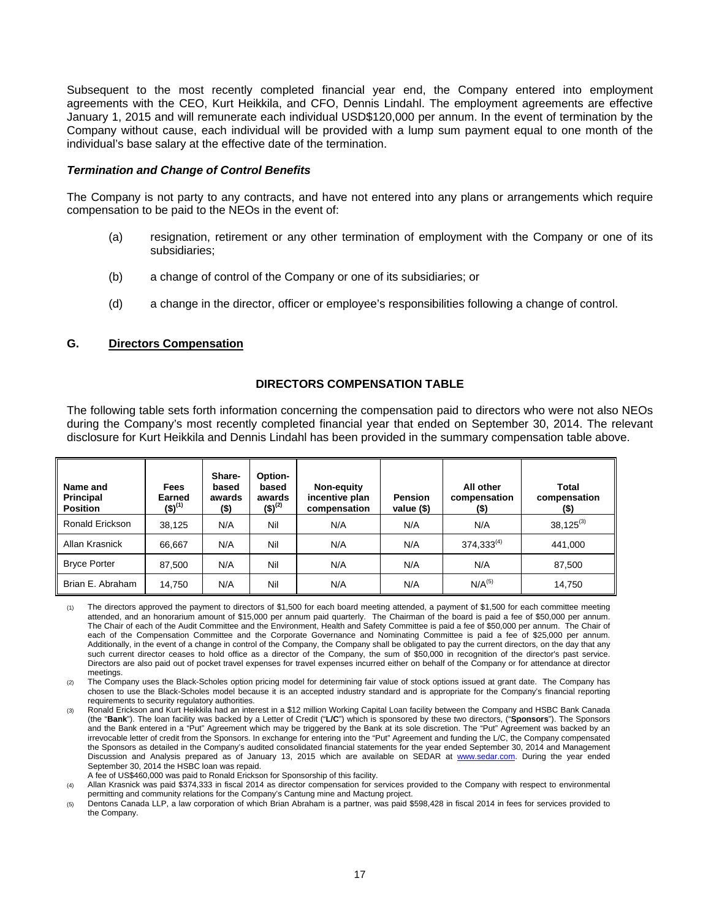Subsequent to the most recently completed financial year end, the Company entered into employment agreements with the CEO, Kurt Heikkila, and CFO, Dennis Lindahl. The employment agreements are effective January 1, 2015 and will remunerate each individual USD\$120,000 per annum. In the event of termination by the Company without cause, each individual will be provided with a lump sum payment equal to one month of the individual's base salary at the effective date of the termination.

#### *Termination and Change of Control Benefits*

The Company is not party to any contracts, and have not entered into any plans or arrangements which require compensation to be paid to the NEOs in the event of:

- (a) resignation, retirement or any other termination of employment with the Company or one of its subsidiaries;
- (b) a change of control of the Company or one of its subsidiaries; or
- (d) a change in the director, officer or employee's responsibilities following a change of control.

### **G. Directors Compensation**

### **DIRECTORS COMPENSATION TABLE**

The following table sets forth information concerning the compensation paid to directors who were not also NEOs during the Company's most recently completed financial year that ended on September 30, 2014. The relevant disclosure for Kurt Heikkila and Dennis Lindahl has been provided in the summary compensation table above.

| Name and<br>Principal<br><b>Position</b> | <b>Fees</b><br>Earned<br>$(5)^{(1)}$ | Share-<br>based<br>awards<br>$($ \$) | Option-<br>based<br>awards<br>$(5)^{(2)}$ | Non-equity<br>incentive plan<br>compensation | <b>Pension</b><br>value $(§)$ | All other<br>compensation<br>(\$) | Total<br>compensation<br>$($ \$) |
|------------------------------------------|--------------------------------------|--------------------------------------|-------------------------------------------|----------------------------------------------|-------------------------------|-----------------------------------|----------------------------------|
| Ronald Erickson                          | 38,125                               | N/A                                  | Nil                                       | N/A                                          | N/A                           | N/A                               | $38,125^{(3)}$                   |
| Allan Krasnick                           | 66,667                               | N/A                                  | Nil                                       | N/A                                          | N/A                           | $374,333^{(4)}$                   | 441,000                          |
| <b>Bryce Porter</b>                      | 87,500                               | N/A                                  | Nil                                       | N/A                                          | N/A                           | N/A                               | 87,500                           |
| Brian E. Abraham                         | 14,750                               | N/A                                  | Nil                                       | N/A                                          | N/A                           | N/A <sup>(5)</sup>                | 14,750                           |

(1) The directors approved the payment to directors of \$1,500 for each board meeting attended, a payment of \$1,500 for each committee meeting attended, and an honorarium amount of \$15,000 per annum paid quarterly. The Chairman of the board is paid a fee of \$50,000 per annum. The Chair of each of the Audit Committee and the Environment, Health and Safety Committee is paid a fee of \$50,000 per annum. The Chair of each of the Compensation Committee and the Corporate Governance and Nominating Committee is paid a fee of \$25,000 per annum. Additionally, in the event of a change in control of the Company, the Company shall be obligated to pay the current directors, on the day that any such current director ceases to hold office as a director of the Company, the sum of \$50,000 in recognition of the director's past service. Directors are also paid out of pocket travel expenses for travel expenses incurred either on behalf of the Company or for attendance at director meetings.

(2) The Company uses the Black-Scholes option pricing model for determining fair value of stock options issued at grant date. The Company has chosen to use the Black-Scholes model because it is an accepted industry standard and is appropriate for the Company's financial reporting requirements to security regulatory authorities.

A fee of US\$460,000 was paid to Ronald Erickson for Sponsorship of this facility.

(4) Allan Krasnick was paid \$374,333 in fiscal 2014 as director compensation for services provided to the Company with respect to environmental permitting and community relations for the Company's Cantung mine and Mactung project.

<sup>(3)</sup> Ronald Erickson and Kurt Heikkila had an interest in a \$12 million Working Capital Loan facility between the Company and HSBC Bank Canada (the "**Bank**"). The loan facility was backed by a Letter of Credit ("**L/C**") which is sponsored by these two directors, ("**Sponsors**"). The Sponsors and the Bank entered in a "Put" Agreement which may be triggered by the Bank at its sole discretion. The "Put" Agreement was backed by an irrevocable letter of credit from the Sponsors. In exchange for entering into the "Put" Agreement and funding the L/C, the Company compensated the Sponsors as detailed in the Company's audited consolidated financial statements for the year ended September 30, 2014 and Management Discussion and Analysis prepared as of January 13, 2015 which are available on SEDAR at www.sedar.com. During the year ended September 30, 2014 the HSBC loan was repaid.

<sup>(5)</sup> Dentons Canada LLP, a law corporation of which Brian Abraham is a partner, was paid \$598,428 in fiscal 2014 in fees for services provided to the Company.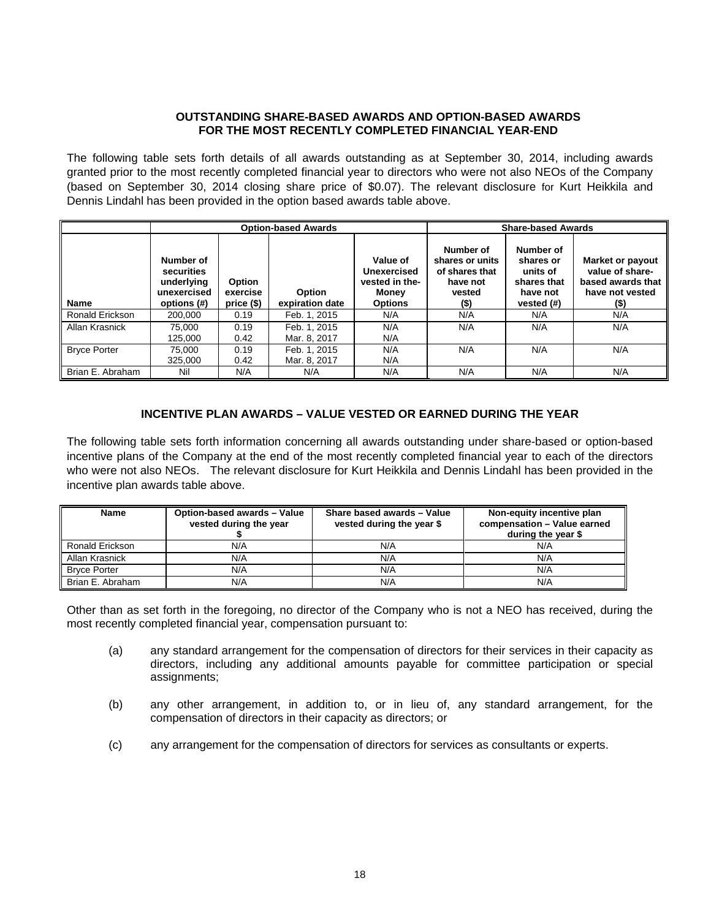### **OUTSTANDING SHARE-BASED AWARDS AND OPTION-BASED AWARDS FOR THE MOST RECENTLY COMPLETED FINANCIAL YEAR-END**

The following table sets forth details of all awards outstanding as at September 30, 2014, including awards granted prior to the most recently completed financial year to directors who were not also NEOs of the Company (based on September 30, 2014 closing share price of \$0.07). The relevant disclosure for Kurt Heikkila and Dennis Lindahl has been provided in the option based awards table above.

|                     |                                                                     |                                  | <b>Option-based Awards</b>       |                                                                      | <b>Share-based Awards</b>                                                       |                                                                             |                                                                                    |
|---------------------|---------------------------------------------------------------------|----------------------------------|----------------------------------|----------------------------------------------------------------------|---------------------------------------------------------------------------------|-----------------------------------------------------------------------------|------------------------------------------------------------------------------------|
| <b>Name</b>         | Number of<br>securities<br>underlying<br>unexercised<br>options (#) | Option<br>exercise<br>price (\$) | <b>Option</b><br>expiration date | Value of<br>Unexercised<br>vested in the-<br>Money<br><b>Options</b> | Number of<br>shares or units<br>of shares that<br>have not<br>vested<br>$($ \$) | Number of<br>shares or<br>units of<br>shares that<br>have not<br>vested (#) | Market or payout<br>value of share-<br>based awards that<br>have not vested<br>(5) |
| Ronald Erickson     | 200.000                                                             | 0.19                             | Feb. 1. 2015                     | N/A                                                                  | N/A                                                                             | N/A                                                                         | N/A                                                                                |
| Allan Krasnick      | 75.000<br>125.000                                                   | 0.19<br>0.42                     | Feb. 1. 2015<br>Mar. 8, 2017     | N/A<br>N/A                                                           | N/A                                                                             | N/A                                                                         | N/A                                                                                |
| <b>Bryce Porter</b> | 75.000<br>325,000                                                   | 0.19<br>0.42                     | Feb. 1. 2015<br>Mar. 8, 2017     | N/A<br>N/A                                                           | N/A                                                                             | N/A                                                                         | N/A                                                                                |
| Brian E. Abraham    | Nil                                                                 | N/A                              | N/A                              | N/A                                                                  | N/A                                                                             | N/A                                                                         | N/A                                                                                |

# **INCENTIVE PLAN AWARDS – VALUE VESTED OR EARNED DURING THE YEAR**

The following table sets forth information concerning all awards outstanding under share-based or option-based incentive plans of the Company at the end of the most recently completed financial year to each of the directors who were not also NEOs. The relevant disclosure for Kurt Heikkila and Dennis Lindahl has been provided in the incentive plan awards table above.

| Name                | Option-based awards - Value<br>vested during the year | Share based awards - Value<br>vested during the year \$ | Non-equity incentive plan<br>compensation - Value earned<br>during the year \$ |
|---------------------|-------------------------------------------------------|---------------------------------------------------------|--------------------------------------------------------------------------------|
| Ronald Erickson     | N/A                                                   | N/A                                                     | N/A                                                                            |
| Allan Krasnick      | N/A                                                   | N/A                                                     | N/A                                                                            |
| <b>Bryce Porter</b> | N/A                                                   | N/A                                                     | N/A                                                                            |
| Brian E. Abraham    | N/A                                                   | N/A                                                     | N/A                                                                            |

Other than as set forth in the foregoing, no director of the Company who is not a NEO has received, during the most recently completed financial year, compensation pursuant to:

- (a) any standard arrangement for the compensation of directors for their services in their capacity as directors, including any additional amounts payable for committee participation or special assignments;
- (b) any other arrangement, in addition to, or in lieu of, any standard arrangement, for the compensation of directors in their capacity as directors; or
- (c) any arrangement for the compensation of directors for services as consultants or experts.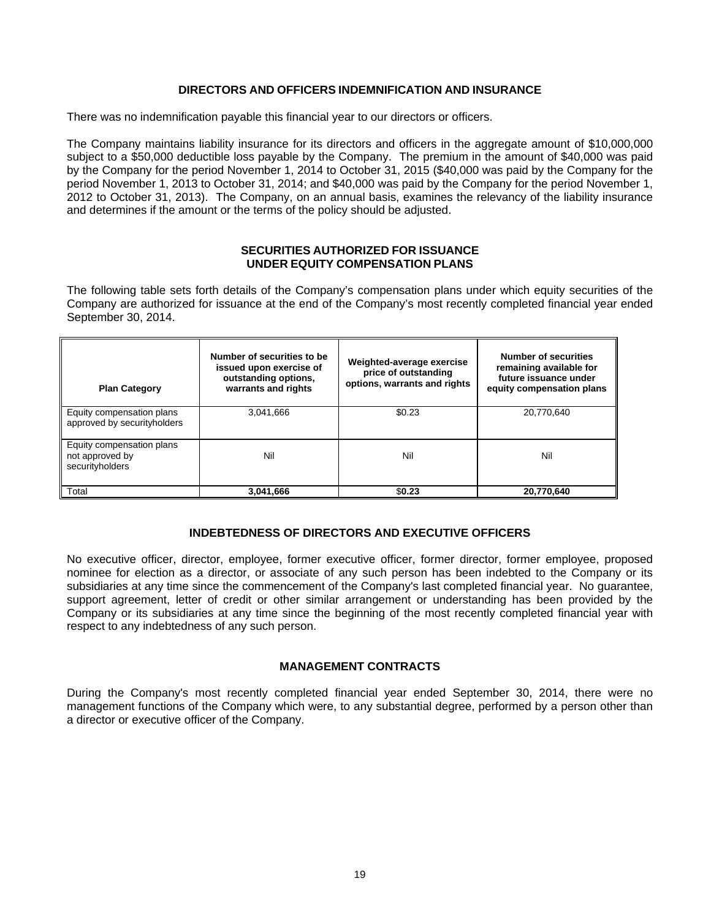## **DIRECTORS AND OFFICERS INDEMNIFICATION AND INSURANCE**

There was no indemnification payable this financial year to our directors or officers.

The Company maintains liability insurance for its directors and officers in the aggregate amount of \$10,000,000 subject to a \$50,000 deductible loss payable by the Company. The premium in the amount of \$40,000 was paid by the Company for the period November 1, 2014 to October 31, 2015 (\$40,000 was paid by the Company for the period November 1, 2013 to October 31, 2014; and \$40,000 was paid by the Company for the period November 1, 2012 to October 31, 2013). The Company, on an annual basis, examines the relevancy of the liability insurance and determines if the amount or the terms of the policy should be adjusted.

### **SECURITIES AUTHORIZED FOR ISSUANCE UNDER EQUITY COMPENSATION PLANS**

The following table sets forth details of the Company's compensation plans under which equity securities of the Company are authorized for issuance at the end of the Company's most recently completed financial year ended September 30, 2014.

| <b>Plan Category</b>                                            | Number of securities to be<br>issued upon exercise of<br>outstanding options,<br>warrants and rights | Weighted-average exercise<br>price of outstanding<br>options, warrants and rights | Number of securities<br>remaining available for<br>future issuance under<br>equity compensation plans |
|-----------------------------------------------------------------|------------------------------------------------------------------------------------------------------|-----------------------------------------------------------------------------------|-------------------------------------------------------------------------------------------------------|
| Equity compensation plans<br>approved by securityholders        | 3,041,666                                                                                            | \$0.23                                                                            | 20.770.640                                                                                            |
| Equity compensation plans<br>not approved by<br>securityholders | Nil                                                                                                  | Nil                                                                               | Nil                                                                                                   |
| Total                                                           | 3,041,666                                                                                            | \$0.23                                                                            | 20,770,640                                                                                            |

# **INDEBTEDNESS OF DIRECTORS AND EXECUTIVE OFFICERS**

No executive officer, director, employee, former executive officer, former director, former employee, proposed nominee for election as a director, or associate of any such person has been indebted to the Company or its subsidiaries at any time since the commencement of the Company's last completed financial year. No guarantee, support agreement, letter of credit or other similar arrangement or understanding has been provided by the Company or its subsidiaries at any time since the beginning of the most recently completed financial year with respect to any indebtedness of any such person.

## **MANAGEMENT CONTRACTS**

During the Company's most recently completed financial year ended September 30, 2014, there were no management functions of the Company which were, to any substantial degree, performed by a person other than a director or executive officer of the Company.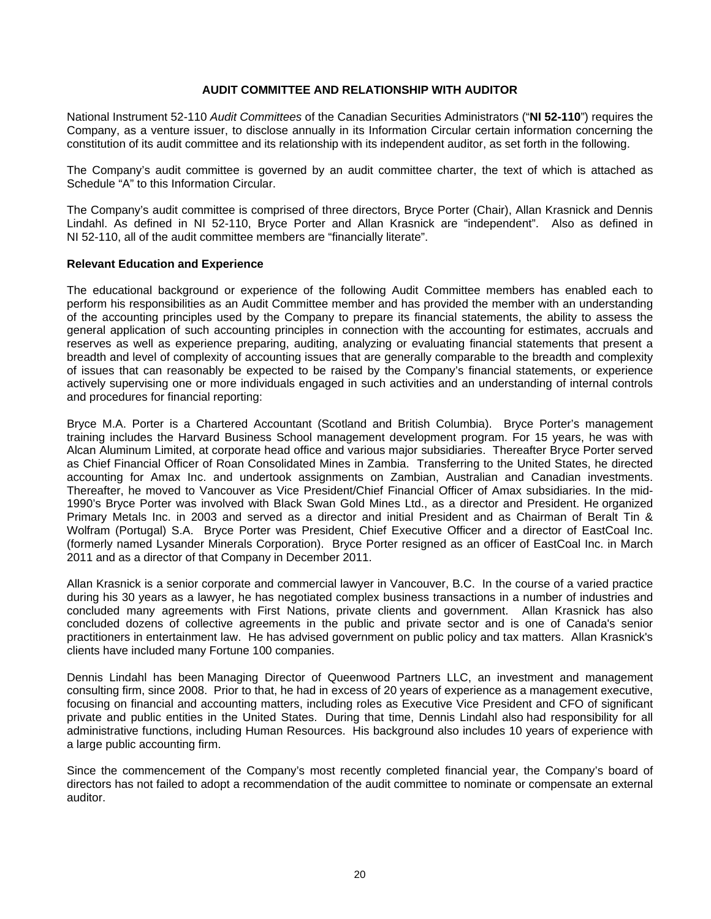## **AUDIT COMMITTEE AND RELATIONSHIP WITH AUDITOR**

National Instrument 52-110 *Audit Committees* of the Canadian Securities Administrators ("**NI 52-110**") requires the Company, as a venture issuer, to disclose annually in its Information Circular certain information concerning the constitution of its audit committee and its relationship with its independent auditor, as set forth in the following.

The Company's audit committee is governed by an audit committee charter, the text of which is attached as Schedule "A" to this Information Circular.

The Company's audit committee is comprised of three directors, Bryce Porter (Chair), Allan Krasnick and Dennis Lindahl. As defined in NI 52-110, Bryce Porter and Allan Krasnick are "independent". Also as defined in NI 52-110, all of the audit committee members are "financially literate".

### **Relevant Education and Experience**

The educational background or experience of the following Audit Committee members has enabled each to perform his responsibilities as an Audit Committee member and has provided the member with an understanding of the accounting principles used by the Company to prepare its financial statements, the ability to assess the general application of such accounting principles in connection with the accounting for estimates, accruals and reserves as well as experience preparing, auditing, analyzing or evaluating financial statements that present a breadth and level of complexity of accounting issues that are generally comparable to the breadth and complexity of issues that can reasonably be expected to be raised by the Company's financial statements, or experience actively supervising one or more individuals engaged in such activities and an understanding of internal controls and procedures for financial reporting:

Bryce M.A. Porter is a Chartered Accountant (Scotland and British Columbia). Bryce Porter's management training includes the Harvard Business School management development program. For 15 years, he was with Alcan Aluminum Limited, at corporate head office and various major subsidiaries. Thereafter Bryce Porter served as Chief Financial Officer of Roan Consolidated Mines in Zambia. Transferring to the United States, he directed accounting for Amax Inc. and undertook assignments on Zambian, Australian and Canadian investments. Thereafter, he moved to Vancouver as Vice President/Chief Financial Officer of Amax subsidiaries. In the mid-1990's Bryce Porter was involved with Black Swan Gold Mines Ltd., as a director and President. He organized Primary Metals Inc. in 2003 and served as a director and initial President and as Chairman of Beralt Tin & Wolfram (Portugal) S.A. Bryce Porter was President, Chief Executive Officer and a director of EastCoal Inc. (formerly named Lysander Minerals Corporation). Bryce Porter resigned as an officer of EastCoal Inc. in March 2011 and as a director of that Company in December 2011.

Allan Krasnick is a senior corporate and commercial lawyer in Vancouver, B.C. In the course of a varied practice during his 30 years as a lawyer, he has negotiated complex business transactions in a number of industries and concluded many agreements with First Nations, private clients and government. Allan Krasnick has also concluded dozens of collective agreements in the public and private sector and is one of Canada's senior practitioners in entertainment law. He has advised government on public policy and tax matters. Allan Krasnick's clients have included many Fortune 100 companies.

Dennis Lindahl has been Managing Director of Queenwood Partners LLC, an investment and management consulting firm, since 2008. Prior to that, he had in excess of 20 years of experience as a management executive, focusing on financial and accounting matters, including roles as Executive Vice President and CFO of significant private and public entities in the United States. During that time, Dennis Lindahl also had responsibility for all administrative functions, including Human Resources. His background also includes 10 years of experience with a large public accounting firm.

Since the commencement of the Company's most recently completed financial year, the Company's board of directors has not failed to adopt a recommendation of the audit committee to nominate or compensate an external auditor.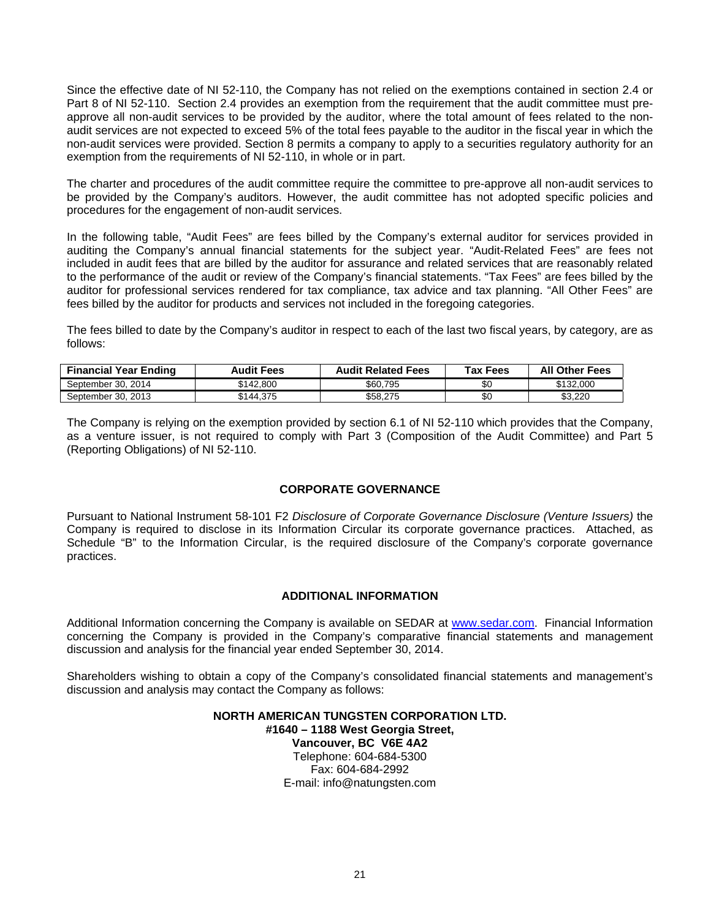Since the effective date of NI 52-110, the Company has not relied on the exemptions contained in section 2.4 or Part 8 of NI 52-110. Section 2.4 provides an exemption from the requirement that the audit committee must preapprove all non-audit services to be provided by the auditor, where the total amount of fees related to the nonaudit services are not expected to exceed 5% of the total fees payable to the auditor in the fiscal year in which the non-audit services were provided. Section 8 permits a company to apply to a securities regulatory authority for an exemption from the requirements of NI 52-110, in whole or in part.

The charter and procedures of the audit committee require the committee to pre-approve all non-audit services to be provided by the Company's auditors. However, the audit committee has not adopted specific policies and procedures for the engagement of non-audit services.

In the following table, "Audit Fees" are fees billed by the Company's external auditor for services provided in auditing the Company's annual financial statements for the subject year. "Audit-Related Fees" are fees not included in audit fees that are billed by the auditor for assurance and related services that are reasonably related to the performance of the audit or review of the Company's financial statements. "Tax Fees" are fees billed by the auditor for professional services rendered for tax compliance, tax advice and tax planning. "All Other Fees" are fees billed by the auditor for products and services not included in the foregoing categories.

The fees billed to date by the Company's auditor in respect to each of the last two fiscal years, by category, are as follows:

| <b>Financial Year Ending</b> | Audit Fees | <b>Audit Related Fees</b> | Tax Fees | <b>All Other Fees</b> |
|------------------------------|------------|---------------------------|----------|-----------------------|
| September 30, 2014           | \$142.800  | \$60.795                  | \$С      | \$132,000             |
| September 30, 2013           | \$144.375  | \$58.275                  | \$0      | \$3.220               |

The Company is relying on the exemption provided by section 6.1 of NI 52-110 which provides that the Company, as a venture issuer, is not required to comply with Part 3 (Composition of the Audit Committee) and Part 5 (Reporting Obligations) of NI 52-110.

### **CORPORATE GOVERNANCE**

Pursuant to National Instrument 58-101 F2 *Disclosure of Corporate Governance Disclosure (Venture Issuers)* the Company is required to disclose in its Information Circular its corporate governance practices. Attached, as Schedule "B" to the Information Circular, is the required disclosure of the Company's corporate governance practices.

### **ADDITIONAL INFORMATION**

Additional Information concerning the Company is available on SEDAR at www.sedar.com. Financial Information concerning the Company is provided in the Company's comparative financial statements and management discussion and analysis for the financial year ended September 30, 2014.

Shareholders wishing to obtain a copy of the Company's consolidated financial statements and management's discussion and analysis may contact the Company as follows:

#### **NORTH AMERICAN TUNGSTEN CORPORATION LTD. #1640 – 1188 West Georgia Street, Vancouver, BC V6E 4A2** Telephone: 604-684-5300 Fax: 604-684-2992

E-mail: info@natungsten.com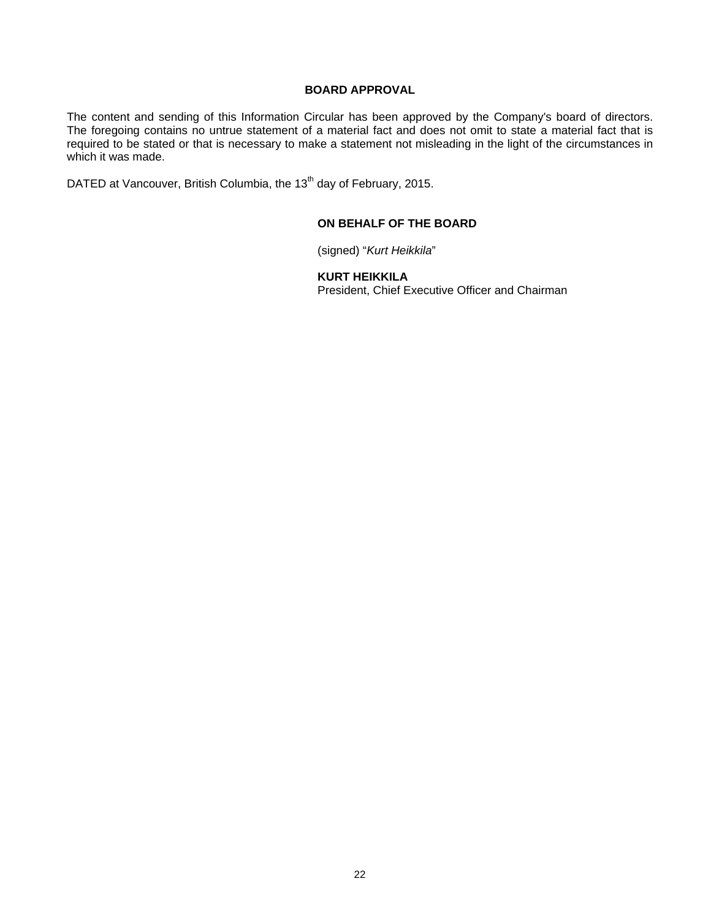### **BOARD APPROVAL**

The content and sending of this Information Circular has been approved by the Company's board of directors. The foregoing contains no untrue statement of a material fact and does not omit to state a material fact that is required to be stated or that is necessary to make a statement not misleading in the light of the circumstances in which it was made.

DATED at Vancouver, British Columbia, the 13<sup>th</sup> day of February, 2015.

## **ON BEHALF OF THE BOARD**

(signed) "*Kurt Heikkila*"

**KURT HEIKKILA** 

President, Chief Executive Officer and Chairman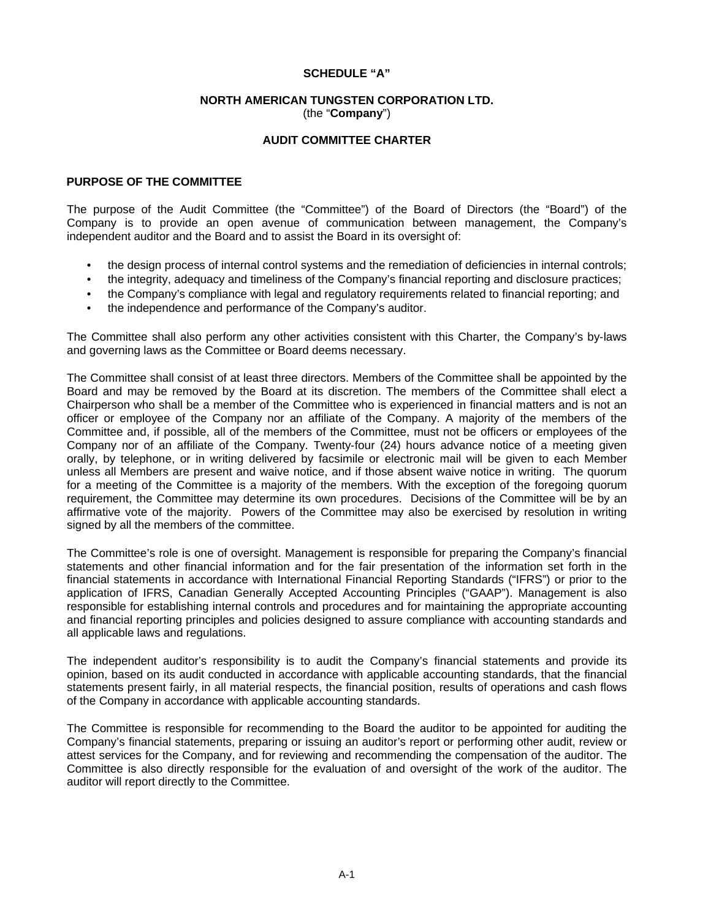### **SCHEDULE "A"**

#### **NORTH AMERICAN TUNGSTEN CORPORATION LTD.**  (the "**Company**")

## **AUDIT COMMITTEE CHARTER**

### **PURPOSE OF THE COMMITTEE**

The purpose of the Audit Committee (the "Committee") of the Board of Directors (the "Board") of the Company is to provide an open avenue of communication between management, the Company's independent auditor and the Board and to assist the Board in its oversight of:

- the design process of internal control systems and the remediation of deficiencies in internal controls;
- the integrity, adequacy and timeliness of the Company's financial reporting and disclosure practices;
- the Company's compliance with legal and regulatory requirements related to financial reporting; and
- the independence and performance of the Company's auditor.

The Committee shall also perform any other activities consistent with this Charter, the Company's by‐laws and governing laws as the Committee or Board deems necessary.

The Committee shall consist of at least three directors. Members of the Committee shall be appointed by the Board and may be removed by the Board at its discretion. The members of the Committee shall elect a Chairperson who shall be a member of the Committee who is experienced in financial matters and is not an officer or employee of the Company nor an affiliate of the Company. A majority of the members of the Committee and, if possible, all of the members of the Committee, must not be officers or employees of the Company nor of an affiliate of the Company. Twenty‐four (24) hours advance notice of a meeting given orally, by telephone, or in writing delivered by facsimile or electronic mail will be given to each Member unless all Members are present and waive notice, and if those absent waive notice in writing. The quorum for a meeting of the Committee is a majority of the members. With the exception of the foregoing quorum requirement, the Committee may determine its own procedures. Decisions of the Committee will be by an affirmative vote of the majority. Powers of the Committee may also be exercised by resolution in writing signed by all the members of the committee.

The Committee's role is one of oversight. Management is responsible for preparing the Company's financial statements and other financial information and for the fair presentation of the information set forth in the financial statements in accordance with International Financial Reporting Standards ("IFRS") or prior to the application of IFRS, Canadian Generally Accepted Accounting Principles ("GAAP"). Management is also responsible for establishing internal controls and procedures and for maintaining the appropriate accounting and financial reporting principles and policies designed to assure compliance with accounting standards and all applicable laws and regulations.

The independent auditor's responsibility is to audit the Company's financial statements and provide its opinion, based on its audit conducted in accordance with applicable accounting standards, that the financial statements present fairly, in all material respects, the financial position, results of operations and cash flows of the Company in accordance with applicable accounting standards.

The Committee is responsible for recommending to the Board the auditor to be appointed for auditing the Company's financial statements, preparing or issuing an auditor's report or performing other audit, review or attest services for the Company, and for reviewing and recommending the compensation of the auditor. The Committee is also directly responsible for the evaluation of and oversight of the work of the auditor. The auditor will report directly to the Committee.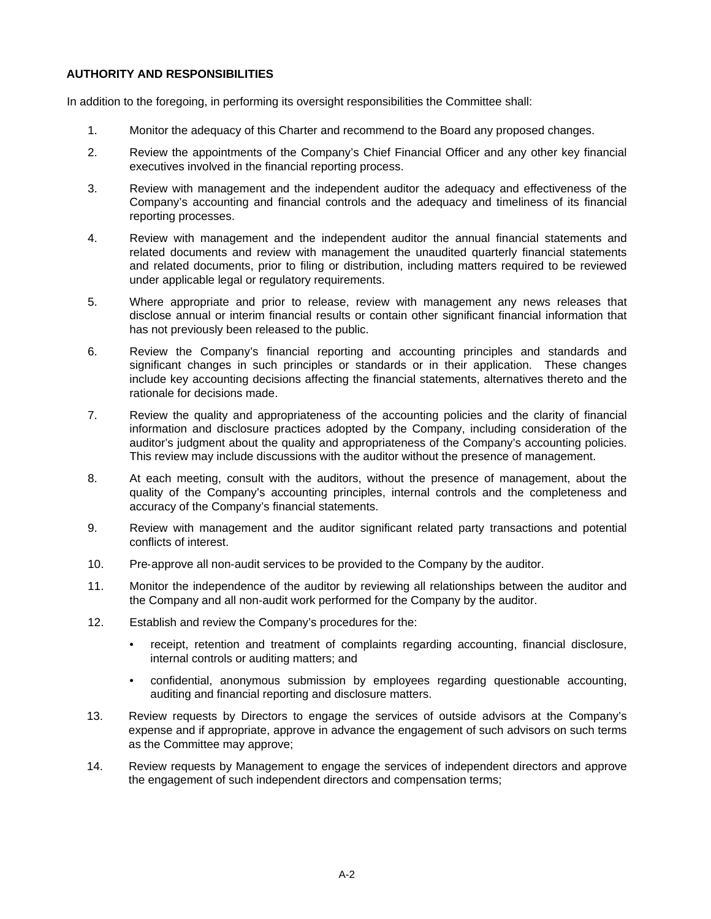## **AUTHORITY AND RESPONSIBILITIES**

In addition to the foregoing, in performing its oversight responsibilities the Committee shall:

- 1. Monitor the adequacy of this Charter and recommend to the Board any proposed changes.
- 2. Review the appointments of the Company's Chief Financial Officer and any other key financial executives involved in the financial reporting process.
- 3. Review with management and the independent auditor the adequacy and effectiveness of the Company's accounting and financial controls and the adequacy and timeliness of its financial reporting processes.
- 4. Review with management and the independent auditor the annual financial statements and related documents and review with management the unaudited quarterly financial statements and related documents, prior to filing or distribution, including matters required to be reviewed under applicable legal or regulatory requirements.
- 5. Where appropriate and prior to release, review with management any news releases that disclose annual or interim financial results or contain other significant financial information that has not previously been released to the public.
- 6. Review the Company's financial reporting and accounting principles and standards and significant changes in such principles or standards or in their application. These changes include key accounting decisions affecting the financial statements, alternatives thereto and the rationale for decisions made.
- 7. Review the quality and appropriateness of the accounting policies and the clarity of financial information and disclosure practices adopted by the Company, including consideration of the auditor's judgment about the quality and appropriateness of the Company's accounting policies. This review may include discussions with the auditor without the presence of management.
- 8. At each meeting, consult with the auditors, without the presence of management, about the quality of the Company's accounting principles, internal controls and the completeness and accuracy of the Company's financial statements.
- 9. Review with management and the auditor significant related party transactions and potential conflicts of interest.
- 10. Pre-approve all non-audit services to be provided to the Company by the auditor.
- 11. Monitor the independence of the auditor by reviewing all relationships between the auditor and the Company and all non‐audit work performed for the Company by the auditor.
- 12. Establish and review the Company's procedures for the:
	- receipt, retention and treatment of complaints regarding accounting, financial disclosure, internal controls or auditing matters; and
	- confidential, anonymous submission by employees regarding questionable accounting, auditing and financial reporting and disclosure matters.
- 13. Review requests by Directors to engage the services of outside advisors at the Company's expense and if appropriate, approve in advance the engagement of such advisors on such terms as the Committee may approve;
- 14. Review requests by Management to engage the services of independent directors and approve the engagement of such independent directors and compensation terms;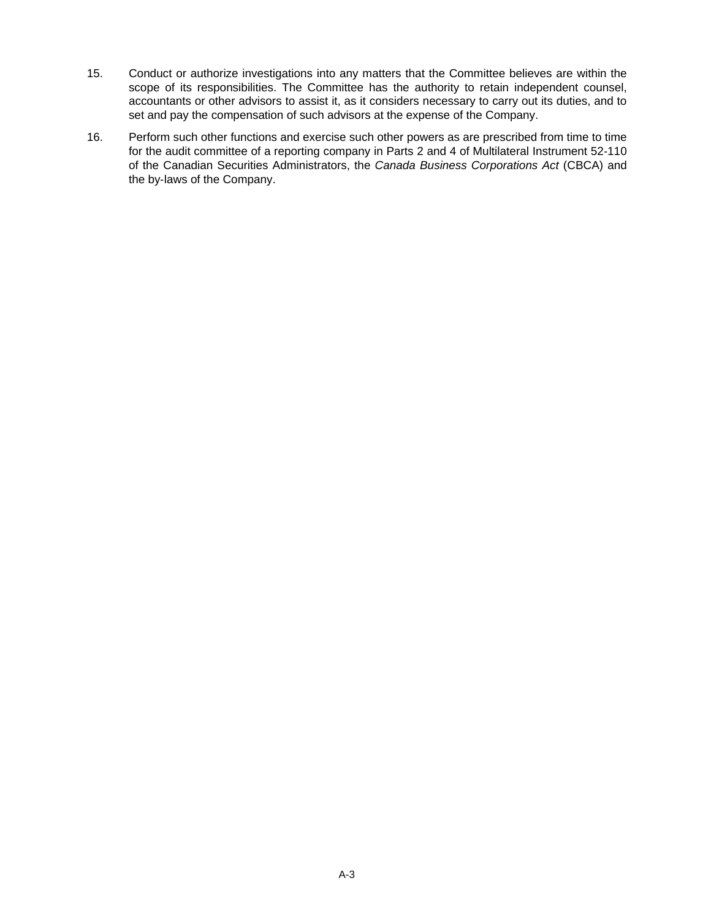- 15. Conduct or authorize investigations into any matters that the Committee believes are within the scope of its responsibilities. The Committee has the authority to retain independent counsel, accountants or other advisors to assist it, as it considers necessary to carry out its duties, and to set and pay the compensation of such advisors at the expense of the Company.
- 16. Perform such other functions and exercise such other powers as are prescribed from time to time for the audit committee of a reporting company in Parts 2 and 4 of Multilateral Instrument 52‐110 of the Canadian Securities Administrators, the *Canada Business Corporations Act* (CBCA) and the by‐laws of the Company.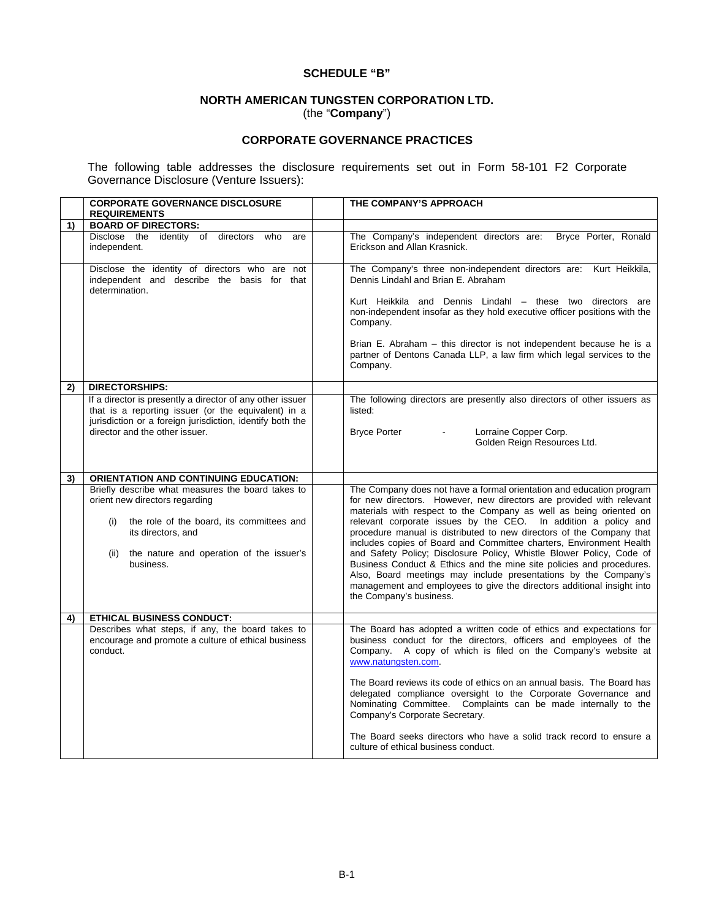### **SCHEDULE "B"**

## **NORTH AMERICAN TUNGSTEN CORPORATION LTD.**  (the "**Company**")

# **CORPORATE GOVERNANCE PRACTICES**

The following table addresses the disclosure requirements set out in Form 58-101 F2 Corporate Governance Disclosure (Venture Issuers):

|    | <b>CORPORATE GOVERNANCE DISCLOSURE</b><br><b>REQUIREMENTS</b>                                                                                                                                                                  | THE COMPANY'S APPROACH                                                                                                                                                                                                                                                                                                                                                                                                                                                                                                                                                                                                                                                                                                                                      |
|----|--------------------------------------------------------------------------------------------------------------------------------------------------------------------------------------------------------------------------------|-------------------------------------------------------------------------------------------------------------------------------------------------------------------------------------------------------------------------------------------------------------------------------------------------------------------------------------------------------------------------------------------------------------------------------------------------------------------------------------------------------------------------------------------------------------------------------------------------------------------------------------------------------------------------------------------------------------------------------------------------------------|
| 1) | <b>BOARD OF DIRECTORS:</b>                                                                                                                                                                                                     |                                                                                                                                                                                                                                                                                                                                                                                                                                                                                                                                                                                                                                                                                                                                                             |
|    | Disclose the identity of directors who<br>are<br>independent.                                                                                                                                                                  | Bryce Porter, Ronald<br>The Company's independent directors are:<br>Erickson and Allan Krasnick.                                                                                                                                                                                                                                                                                                                                                                                                                                                                                                                                                                                                                                                            |
|    | Disclose the identity of directors who are not<br>independent and describe the basis for that<br>determination.                                                                                                                | The Company's three non-independent directors are: Kurt Heikkila,<br>Dennis Lindahl and Brian E. Abraham<br>Kurt Heikkila and Dennis Lindahl - these two directors are<br>non-independent insofar as they hold executive officer positions with the<br>Company.<br>Brian E. Abraham – this director is not independent because he is a<br>partner of Dentons Canada LLP, a law firm which legal services to the<br>Company.                                                                                                                                                                                                                                                                                                                                 |
| 2) | <b>DIRECTORSHIPS:</b>                                                                                                                                                                                                          |                                                                                                                                                                                                                                                                                                                                                                                                                                                                                                                                                                                                                                                                                                                                                             |
|    | If a director is presently a director of any other issuer<br>that is a reporting issuer (or the equivalent) in a<br>jurisdiction or a foreign jurisdiction, identify both the<br>director and the other issuer.                | The following directors are presently also directors of other issuers as<br>listed:<br><b>Bryce Porter</b><br>Lorraine Copper Corp.<br>$\blacksquare$<br>Golden Reign Resources Ltd.                                                                                                                                                                                                                                                                                                                                                                                                                                                                                                                                                                        |
| 3) | <b>ORIENTATION AND CONTINUING EDUCATION:</b>                                                                                                                                                                                   |                                                                                                                                                                                                                                                                                                                                                                                                                                                                                                                                                                                                                                                                                                                                                             |
|    | Briefly describe what measures the board takes to<br>orient new directors regarding<br>the role of the board, its committees and<br>(i)<br>its directors, and<br>the nature and operation of the issuer's<br>(ii)<br>business. | The Company does not have a formal orientation and education program<br>for new directors. However, new directors are provided with relevant<br>materials with respect to the Company as well as being oriented on<br>relevant corporate issues by the CEO. In addition a policy and<br>procedure manual is distributed to new directors of the Company that<br>includes copies of Board and Committee charters, Environment Health<br>and Safety Policy; Disclosure Policy, Whistle Blower Policy, Code of<br>Business Conduct & Ethics and the mine site policies and procedures.<br>Also, Board meetings may include presentations by the Company's<br>management and employees to give the directors additional insight into<br>the Company's business. |
| 4) | <b>ETHICAL BUSINESS CONDUCT:</b>                                                                                                                                                                                               |                                                                                                                                                                                                                                                                                                                                                                                                                                                                                                                                                                                                                                                                                                                                                             |
|    | Describes what steps, if any, the board takes to<br>encourage and promote a culture of ethical business<br>conduct.                                                                                                            | The Board has adopted a written code of ethics and expectations for<br>business conduct for the directors, officers and employees of the<br>Company. A copy of which is filed on the Company's website at<br>www.natungsten.com.<br>The Board reviews its code of ethics on an annual basis. The Board has<br>delegated compliance oversight to the Corporate Governance and<br>Nominating Committee. Complaints can be made internally to the<br>Company's Corporate Secretary.<br>The Board seeks directors who have a solid track record to ensure a<br>culture of ethical business conduct.                                                                                                                                                             |